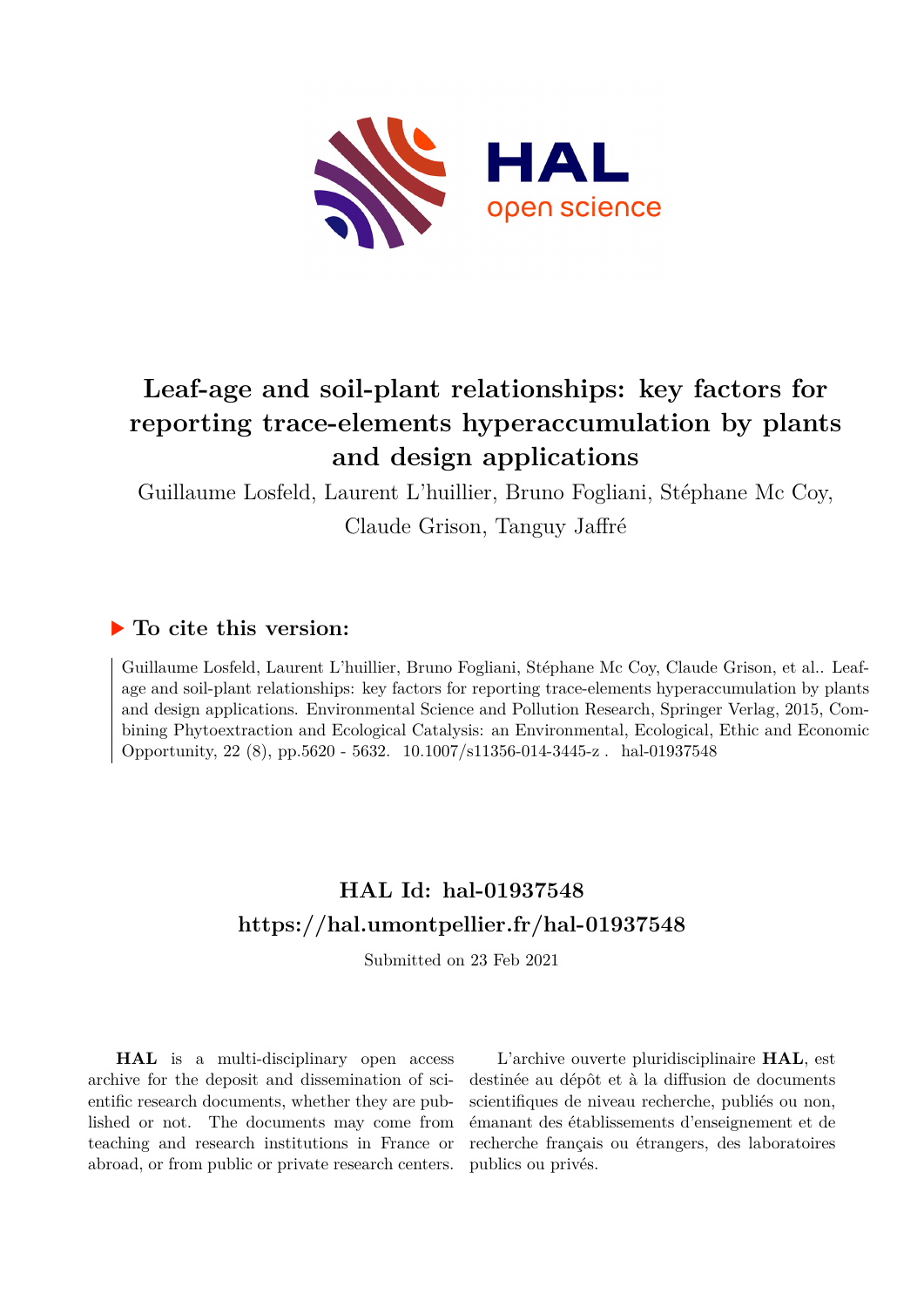

# **Leaf-age and soil-plant relationships: key factors for reporting trace-elements hyperaccumulation by plants and design applications**

Guillaume Losfeld, Laurent L'huillier, Bruno Fogliani, Stéphane Mc Coy,

Claude Grison, Tanguy Jaffré

## **To cite this version:**

Guillaume Losfeld, Laurent L'huillier, Bruno Fogliani, Stéphane Mc Coy, Claude Grison, et al.. Leafage and soil-plant relationships: key factors for reporting trace-elements hyperaccumulation by plants and design applications. Environmental Science and Pollution Research, Springer Verlag, 2015, Combining Phytoextraction and Ecological Catalysis: an Environmental, Ecological, Ethic and Economic Opportunity, 22 (8), pp.5620 - 5632. 10.1007/s11356-014-3445-z. hal-01937548

## **HAL Id: hal-01937548 <https://hal.umontpellier.fr/hal-01937548>**

Submitted on 23 Feb 2021

**HAL** is a multi-disciplinary open access archive for the deposit and dissemination of scientific research documents, whether they are published or not. The documents may come from teaching and research institutions in France or abroad, or from public or private research centers.

L'archive ouverte pluridisciplinaire **HAL**, est destinée au dépôt et à la diffusion de documents scientifiques de niveau recherche, publiés ou non, émanant des établissements d'enseignement et de recherche français ou étrangers, des laboratoires publics ou privés.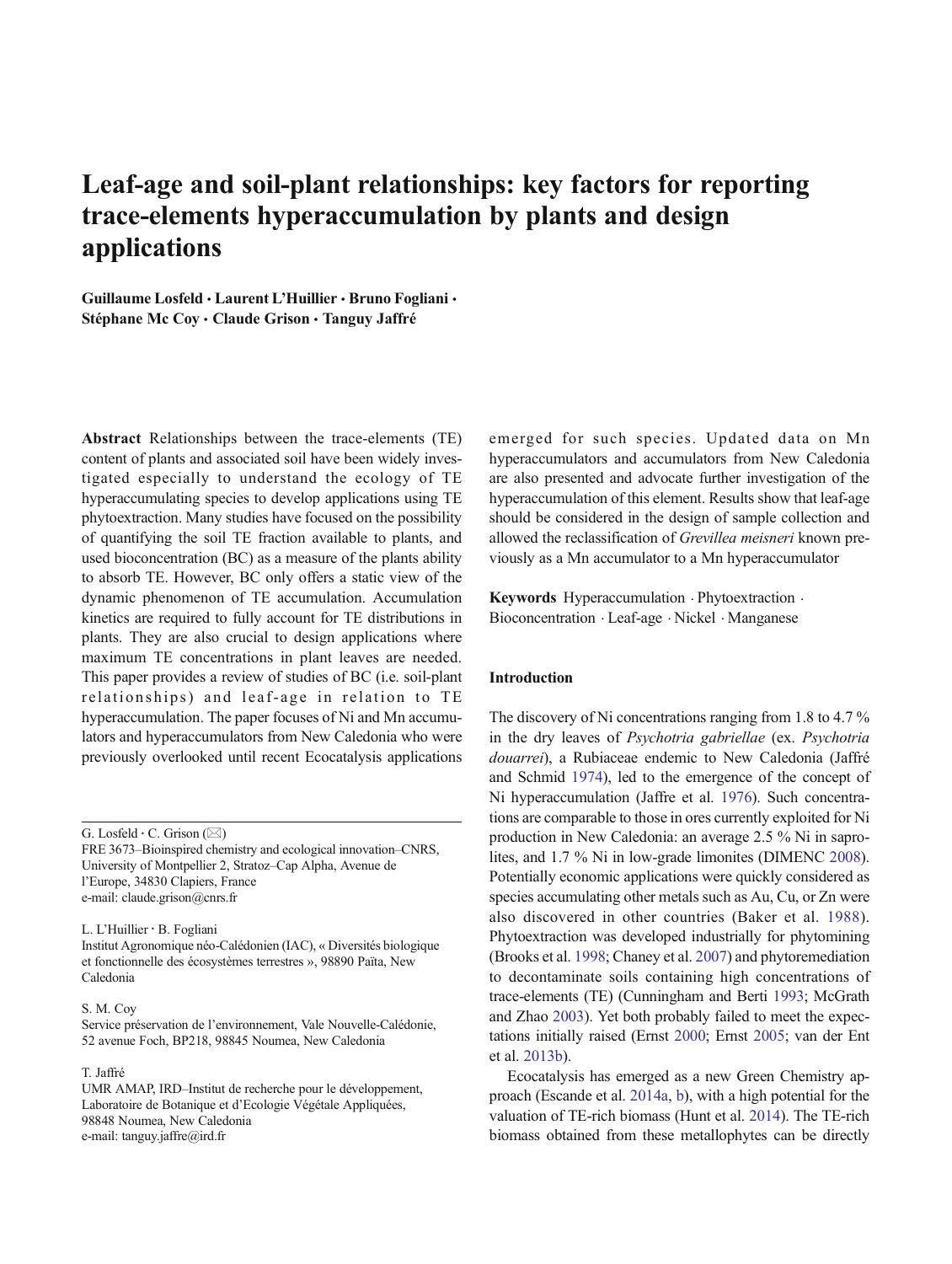## Leaf-age and soil-plant relationships: key factors for reporting trace-elements hyperaccumulation by plants and design applications

Guillaume Losfeld · Laurent L'Huillier · Bruno Fogliani · Stéphane Mc Coy · Claude Grison · Tanguy Jaffré

Abstract Relationships between the trace-elements (TE) content of plants and associated soil have been widely investigated especially to understand the ecology of TE hyperaccumulating species to develop applications using TE phytoextraction. Many studies have focused on the possibility of quantifying the soil TE fraction available to plants, and used bioconcentration (BC) as a measure of the plants ability to absorb TE. However, BC only offers a static view of the dynamic phenomenon of TE accumulation. Accumulation kinetics are required to fully account for TE distributions in plants. They are also crucial to design applications where maximum TE concentrations in plant leaves are needed. This paper provides a review of studies of BC (i.e. soil-plant relationships) and leaf-age in relation to TE hyperaccumulation. The paper focuses of Ni and Mn accumulators and hyperaccumulators from New Caledonia who were previously overlooked until recent Ecocatalysis applications

L. L'Huillier : B. Fogliani Institut Agronomique néo-Calédonien (IAC), « Diversités biologique et fonctionnelle des écosystèmes terrestres », 98890 Païta, New Caledonia

#### S. M. Coy

Service préservation de l'environnement, Vale Nouvelle-Calédonie, 52 avenue Foch, BP218, 98845 Noumea, New Caledonia

#### T. Jaffré

emerged for such species. Updated data on Mn hyperaccumulators and accumulators from New Caledonia are also presented and advocate further investigation of the hyperaccumulation of this element. Results show that leaf-age should be considered in the design of sample collection and allowed the reclassification of Grevillea meisneri known previously as a Mn accumulator to a Mn hyperaccumulator

Keywords Hyperaccumulation . Phytoextraction . Bioconcentration . Leaf-age . Nickel . Manganese

#### Introduction

The discovery of Ni concentrations ranging from 1.8 to 4.7 % in the dry leaves of Psychotria gabriellae (ex. Psychotria douarrei), a Rubiaceae endemic to New Caledonia (Jaffré and Schmid 1974), led to the emergence of the concept of Ni hyperaccumulation (Jaffre et al. 1976). Such concentrations are comparable to those in ores currently exploited for Ni production in New Caledonia: an average 2.5 % Ni in saprolites, and 1.7 % Ni in low-grade limonites (DIMENC 2008). Potentially economic applications were quickly considered as species accumulating other metals such as Au, Cu, or Zn were also discovered in other countries (Baker et al. 1988). Phytoextraction was developed industrially for phytomining (Brooks et al. 1998; Chaney et al. 2007) and phytoremediation to decontaminate soils containing high concentrations of trace-elements (TE) (Cunningham and Berti 1993; McGrath and Zhao 2003). Yet both probably failed to meet the expectations initially raised (Ernst 2000; Ernst 2005; van der Ent et al. 2013b).

Ecocatalysis has emerged as a new Green Chemistry approach (Escande et al. 2014a, b), with a high potential for the valuation of TE-rich biomass (Hunt et al. 2014). The TE-rich biomass obtained from these metallophytes can be directly

G. Losfeld  $\cdot$  C. Grison ( $\boxtimes$ )

FRE 3673–Bioinspired chemistry and ecological innovation–CNRS, University of Montpellier 2, Stratoz–Cap Alpha, Avenue de l'Europe, 34830 Clapiers, France e-mail: claude.grison@cnrs.fr

UMR AMAP, IRD–Institut de recherche pour le développement, Laboratoire de Botanique et d'Ecologie Végétale Appliquées, 98848 Noumea, New Caledonia e-mail: tanguy.jaffre@ird.fr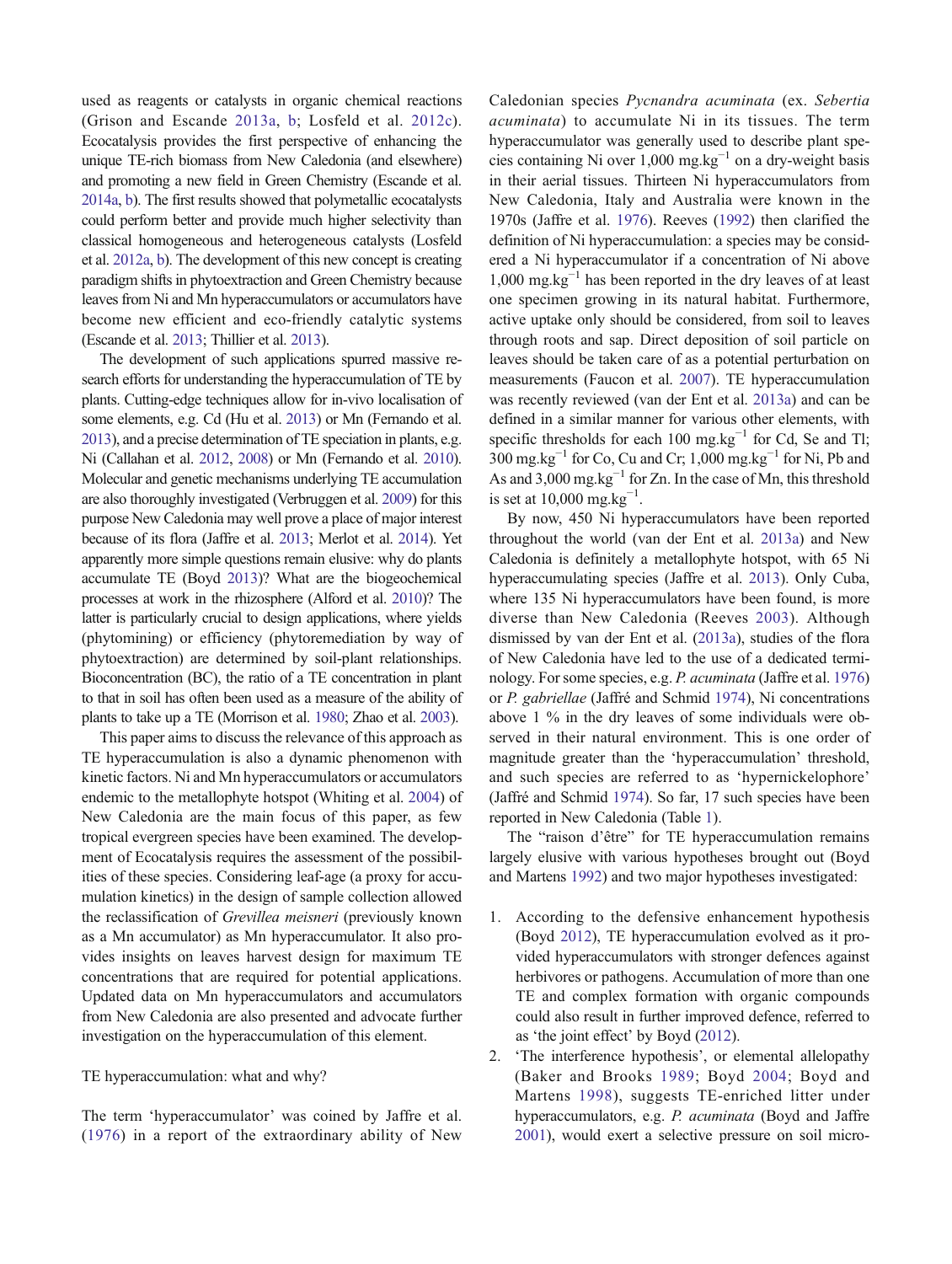used as reagents or catalysts in organic chemical reactions (Grison and Escande 2013a, b; Losfeld et al. 2012c). Ecocatalysis provides the first perspective of enhancing the unique TE-rich biomass from New Caledonia (and elsewhere) and promoting a new field in Green Chemistry (Escande et al. 2014a, b). The first results showed that polymetallic ecocatalysts could perform better and provide much higher selectivity than classical homogeneous and heterogeneous catalysts (Losfeld et al. 2012a, b). The development of this new concept is creating paradigm shifts in phytoextraction and Green Chemistry because leaves from Ni and Mn hyperaccumulators or accumulators have become new efficient and eco-friendly catalytic systems (Escande et al. 2013; Thillier et al. 2013).

The development of such applications spurred massive research efforts for understanding the hyperaccumulation of TE by plants. Cutting-edge techniques allow for in-vivo localisation of some elements, e.g. Cd (Hu et al. 2013) or Mn (Fernando et al. 2013), and a precise determination of TE speciation in plants, e.g. Ni (Callahan et al. 2012, 2008) or Mn (Fernando et al. 2010). Molecular and genetic mechanisms underlying TE accumulation are also thoroughly investigated (Verbruggen et al. 2009) for this purpose New Caledonia may well prove a place of major interest because of its flora (Jaffre et al. 2013; Merlot et al. 2014). Yet apparently more simple questions remain elusive: why do plants accumulate TE (Boyd 2013)? What are the biogeochemical processes at work in the rhizosphere (Alford et al. 2010)? The latter is particularly crucial to design applications, where yields (phytomining) or efficiency (phytoremediation by way of phytoextraction) are determined by soil-plant relationships. Bioconcentration (BC), the ratio of a TE concentration in plant to that in soil has often been used as a measure of the ability of plants to take up a TE (Morrison et al. 1980; Zhao et al. 2003).

This paper aims to discuss the relevance of this approach as TE hyperaccumulation is also a dynamic phenomenon with kinetic factors. Ni and Mn hyperaccumulators or accumulators endemic to the metallophyte hotspot (Whiting et al. 2004) of New Caledonia are the main focus of this paper, as few tropical evergreen species have been examined. The development of Ecocatalysis requires the assessment of the possibilities of these species. Considering leaf-age (a proxy for accumulation kinetics) in the design of sample collection allowed the reclassification of Grevillea meisneri (previously known as a Mn accumulator) as Mn hyperaccumulator. It also provides insights on leaves harvest design for maximum TE concentrations that are required for potential applications. Updated data on Mn hyperaccumulators and accumulators from New Caledonia are also presented and advocate further investigation on the hyperaccumulation of this element.

#### TE hyperaccumulation: what and why?

The term 'hyperaccumulator' was coined by Jaffre et al. (1976) in a report of the extraordinary ability of New Caledonian species Pycnandra acuminata (ex. Sebertia acuminata) to accumulate Ni in its tissues. The term hyperaccumulator was generally used to describe plant species containing Ni over 1,000 mg.kg<sup> $-1$ </sup> on a dry-weight basis in their aerial tissues. Thirteen Ni hyperaccumulators from New Caledonia, Italy and Australia were known in the 1970s (Jaffre et al. 1976). Reeves (1992) then clarified the definition of Ni hyperaccumulation: a species may be considered a Ni hyperaccumulator if a concentration of Ni above  $1,000 \text{ mg}$ .kg<sup>-1</sup> has been reported in the dry leaves of at least one specimen growing in its natural habitat. Furthermore, active uptake only should be considered, from soil to leaves through roots and sap. Direct deposition of soil particle on leaves should be taken care of as a potential perturbation on measurements (Faucon et al. 2007). TE hyperaccumulation was recently reviewed (van der Ent et al. 2013a) and can be defined in a similar manner for various other elements, with specific thresholds for each 100 mg.kg<sup>-1</sup> for Cd, Se and Tl;  $300 \text{ mg}$ .kg<sup>-1</sup> for Co, Cu and Cr; 1,000 mg.kg<sup>-1</sup> for Ni, Pb and As and 3,000 mg.kg<sup> $-1$ </sup> for Zn. In the case of Mn, this threshold is set at  $10,000$  mg.kg<sup>-1</sup>.

By now, 450 Ni hyperaccumulators have been reported throughout the world (van der Ent et al. 2013a) and New Caledonia is definitely a metallophyte hotspot, with 65 Ni hyperaccumulating species (Jaffre et al. 2013). Only Cuba, where 135 Ni hyperaccumulators have been found, is more diverse than New Caledonia (Reeves 2003). Although dismissed by van der Ent et al. (2013a), studies of the flora of New Caledonia have led to the use of a dedicated terminology. For some species, e.g. P. acuminata (Jaffre et al. 1976) or P. gabriellae (Jaffré and Schmid 1974), Ni concentrations above 1 % in the dry leaves of some individuals were observed in their natural environment. This is one order of magnitude greater than the 'hyperaccumulation' threshold, and such species are referred to as 'hypernickelophore' (Jaffré and Schmid 1974). So far, 17 such species have been reported in New Caledonia (Table 1).

The "raison d'être" for TE hyperaccumulation remains largely elusive with various hypotheses brought out (Boyd and Martens 1992) and two major hypotheses investigated:

- 1. According to the defensive enhancement hypothesis (Boyd 2012), TE hyperaccumulation evolved as it provided hyperaccumulators with stronger defences against herbivores or pathogens. Accumulation of more than one TE and complex formation with organic compounds could also result in further improved defence, referred to as 'the joint effect' by Boyd (2012).
- 2. 'The interference hypothesis', or elemental allelopathy (Baker and Brooks 1989; Boyd 2004; Boyd and Martens 1998), suggests TE-enriched litter under hyperaccumulators, e.g. P. acuminata (Boyd and Jaffre 2001), would exert a selective pressure on soil micro-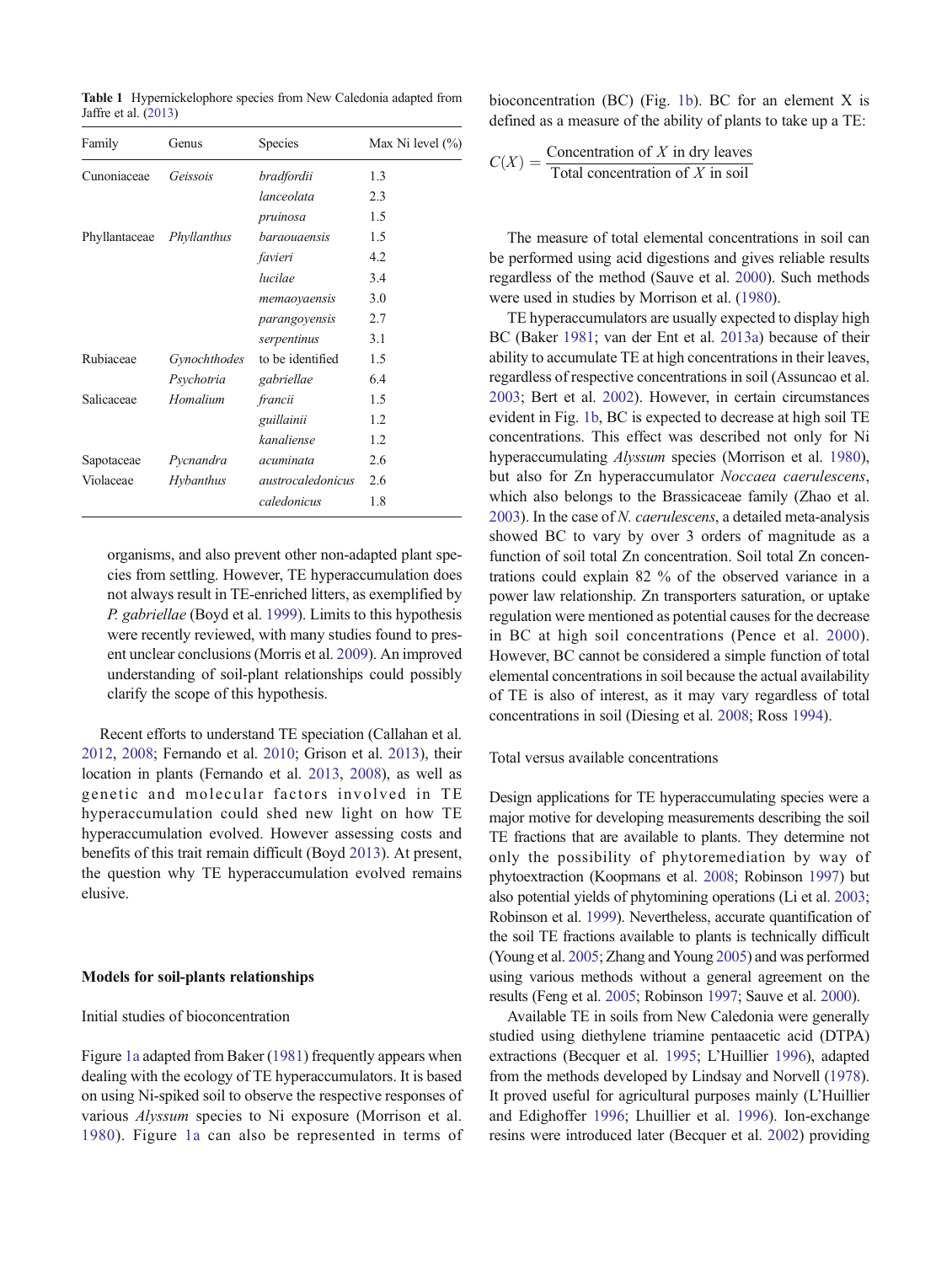Table 1 Hypernickelophore species from New Caledonia adapted from Jaffre et al. (2013)

| Family        | Genus        | Species             | Max Ni level (%) |
|---------------|--------------|---------------------|------------------|
| Cunoniaceae   | Geissois     | bradfordii          | 1.3              |
|               |              | lanceolata          | 2.3              |
|               |              | pruinosa            | 1.5              |
| Phyllantaceae | Phyllanthus  | <i>baraouaensis</i> | 1.5              |
|               |              | favieri             | 4.2              |
|               |              | lucilae             | 3.4              |
|               |              | memaoyaensis        | 3.0              |
|               |              | parangoyensis       | 2.7              |
|               |              | serpentinus         | 3.1              |
| Rubiaceae     | Gynochthodes | to be identified    | 1.5              |
|               | Psychotria   | gabriellae          | 6.4              |
| Salicaceae    | Homalium     | francii             | 1.5              |
|               |              | guillainii          | 1.2              |
|               |              | kanaliense          | 1.2              |
| Sapotaceae    | Pycnandra    | acuminata           | 2.6              |
| Violaceae     | Hybanthus    | austrocaledonicus   | 2.6              |
|               |              | caledonicus         | 1.8              |

organisms, and also prevent other non-adapted plant species from settling. However, TE hyperaccumulation does not always result in TE-enriched litters, as exemplified by P. gabriellae (Boyd et al. 1999). Limits to this hypothesis were recently reviewed, with many studies found to present unclear conclusions (Morris et al. 2009). An improved understanding of soil-plant relationships could possibly clarify the scope of this hypothesis.

Recent efforts to understand TE speciation (Callahan et al. 2012, 2008; Fernando et al. 2010; Grison et al. 2013), their location in plants (Fernando et al. 2013, 2008), as well as genetic and molecular factors involved in TE hyperaccumulation could shed new light on how TE hyperaccumulation evolved. However assessing costs and benefits of this trait remain difficult (Boyd 2013). At present, the question why TE hyperaccumulation evolved remains elusive.

### Models for soil-plants relationships

### Initial studies of bioconcentration

Figure 1a adapted from Baker (1981) frequently appears when dealing with the ecology of TE hyperaccumulators. It is based on using Ni-spiked soil to observe the respective responses of various Alyssum species to Ni exposure (Morrison et al. 1980). Figure 1a can also be represented in terms of bioconcentration (BC) (Fig. 1b). BC for an element X is defined as a measure of the ability of plants to take up a TE:

$$
C(X) = \frac{\text{Concentration of } X \text{ in dry leaves}}{\text{Total concentration of } X \text{ in soil}}
$$

The measure of total elemental concentrations in soil can be performed using acid digestions and gives reliable results regardless of the method (Sauve et al. 2000). Such methods were used in studies by Morrison et al. (1980).

TE hyperaccumulators are usually expected to display high BC (Baker 1981; van der Ent et al. 2013a) because of their ability to accumulate TE at high concentrations in their leaves, regardless of respective concentrations in soil (Assuncao et al. 2003; Bert et al. 2002). However, in certain circumstances evident in Fig. 1b, BC is expected to decrease at high soil TE concentrations. This effect was described not only for Ni hyperaccumulating *Alyssum* species (Morrison et al. 1980), but also for Zn hyperaccumulator Noccaea caerulescens, which also belongs to the Brassicaceae family (Zhao et al. 2003). In the case of  $N$ . *caerulescens*, a detailed meta-analysis showed BC to vary by over 3 orders of magnitude as a function of soil total Zn concentration. Soil total Zn concentrations could explain 82 % of the observed variance in a power law relationship. Zn transporters saturation, or uptake regulation were mentioned as potential causes for the decrease in BC at high soil concentrations (Pence et al. 2000). However, BC cannot be considered a simple function of total elemental concentrations in soil because the actual availability of TE is also of interest, as it may vary regardless of total concentrations in soil (Diesing et al. 2008; Ross 1994).

Total versus available concentrations

Design applications for TE hyperaccumulating species were a major motive for developing measurements describing the soil TE fractions that are available to plants. They determine not only the possibility of phytoremediation by way of phytoextraction (Koopmans et al. 2008; Robinson 1997) but also potential yields of phytomining operations (Li et al. 2003; Robinson et al. 1999). Nevertheless, accurate quantification of the soil TE fractions available to plants is technically difficult (Young et al. 2005; Zhang and Young 2005) and was performed using various methods without a general agreement on the results (Feng et al. 2005; Robinson 1997; Sauve et al. 2000).

Available TE in soils from New Caledonia were generally studied using diethylene triamine pentaacetic acid (DTPA) extractions (Becquer et al. 1995; L'Huillier 1996), adapted from the methods developed by Lindsay and Norvell (1978). It proved useful for agricultural purposes mainly (L'Huillier and Edighoffer 1996; Lhuillier et al. 1996). Ion-exchange resins were introduced later (Becquer et al. 2002) providing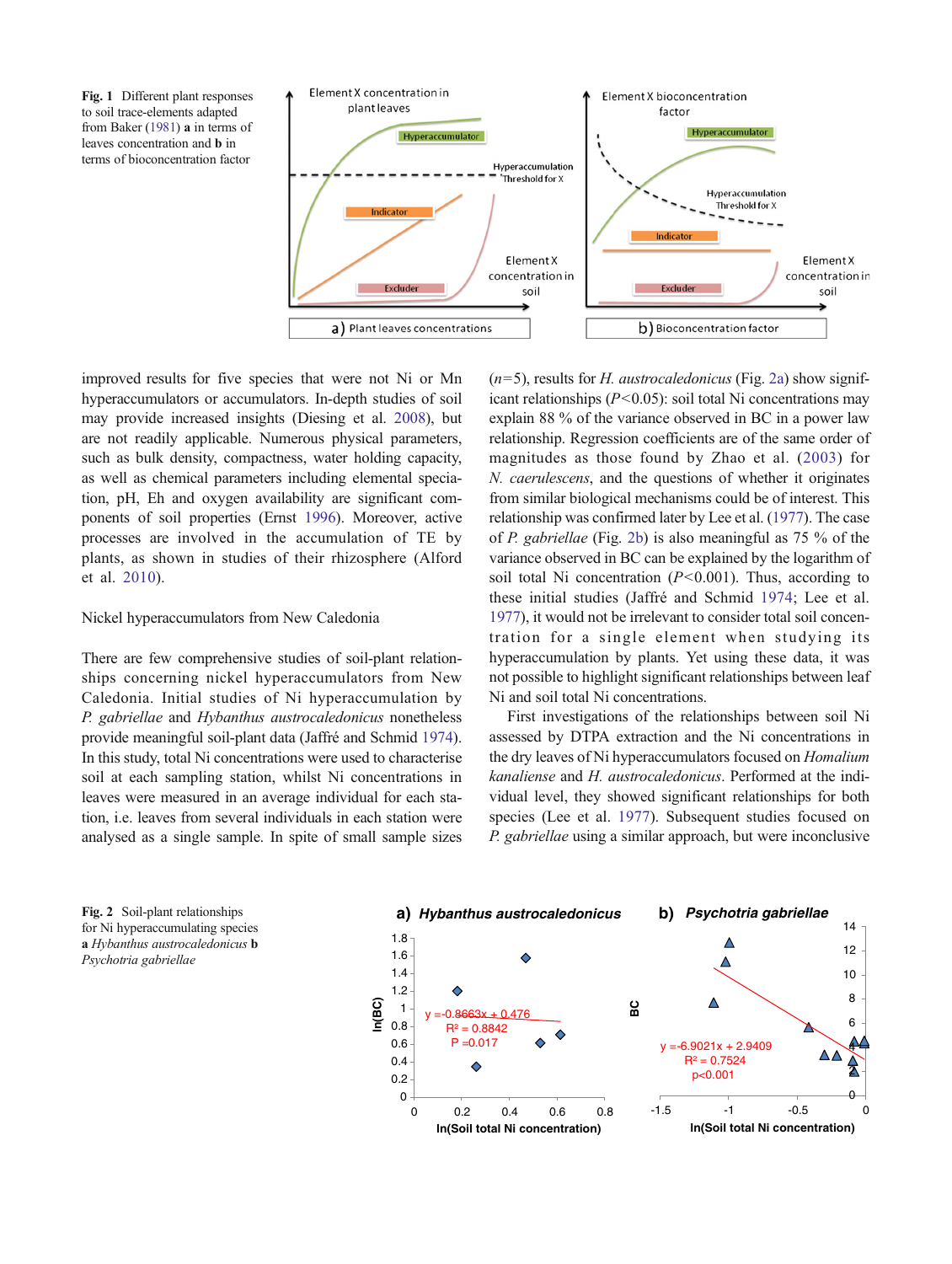Fig. 1 Different plant responses to soil trace-elements adapted from Baker (1981) a in terms of leaves concentration and b in terms of bioconcentration factor



improved results for five species that were not Ni or Mn hyperaccumulators or accumulators. In-depth studies of soil may provide increased insights (Diesing et al. 2008), but are not readily applicable. Numerous physical parameters, such as bulk density, compactness, water holding capacity, as well as chemical parameters including elemental speciation, pH, Eh and oxygen availability are significant components of soil properties (Ernst 1996). Moreover, active processes are involved in the accumulation of TE by plants, as shown in studies of their rhizosphere (Alford et al. 2010).

#### Nickel hyperaccumulators from New Caledonia

There are few comprehensive studies of soil-plant relationships concerning nickel hyperaccumulators from New Caledonia. Initial studies of Ni hyperaccumulation by P. gabriellae and Hybanthus austrocaledonicus nonetheless provide meaningful soil-plant data (Jaffré and Schmid 1974). In this study, total Ni concentrations were used to characterise soil at each sampling station, whilst Ni concentrations in leaves were measured in an average individual for each station, i.e. leaves from several individuals in each station were analysed as a single sample. In spite of small sample sizes  $(n=5)$ , results for H. *austrocaledonicus* (Fig. 2a) show significant relationships  $(P<0.05)$ : soil total Ni concentrations may explain 88 % of the variance observed in BC in a power law relationship. Regression coefficients are of the same order of magnitudes as those found by Zhao et al. (2003) for N. caerulescens, and the questions of whether it originates from similar biological mechanisms could be of interest. This relationship was confirmed later by Lee et al. (1977). The case of P. gabriellae (Fig. 2b) is also meaningful as 75 % of the variance observed in BC can be explained by the logarithm of soil total Ni concentration  $(P<0.001)$ . Thus, according to these initial studies (Jaffré and Schmid 1974; Lee et al. 1977), it would not be irrelevant to consider total soil concentration for a single element when studying its hyperaccumulation by plants. Yet using these data, it was not possible to highlight significant relationships between leaf Ni and soil total Ni concentrations.

First investigations of the relationships between soil Ni assessed by DTPA extraction and the Ni concentrations in the dry leaves of Ni hyperaccumulators focused on Homalium kanaliense and H. austrocaledonicus. Performed at the individual level, they showed significant relationships for both species (Lee et al. 1977). Subsequent studies focused on P. gabriellae using a similar approach, but were inconclusive



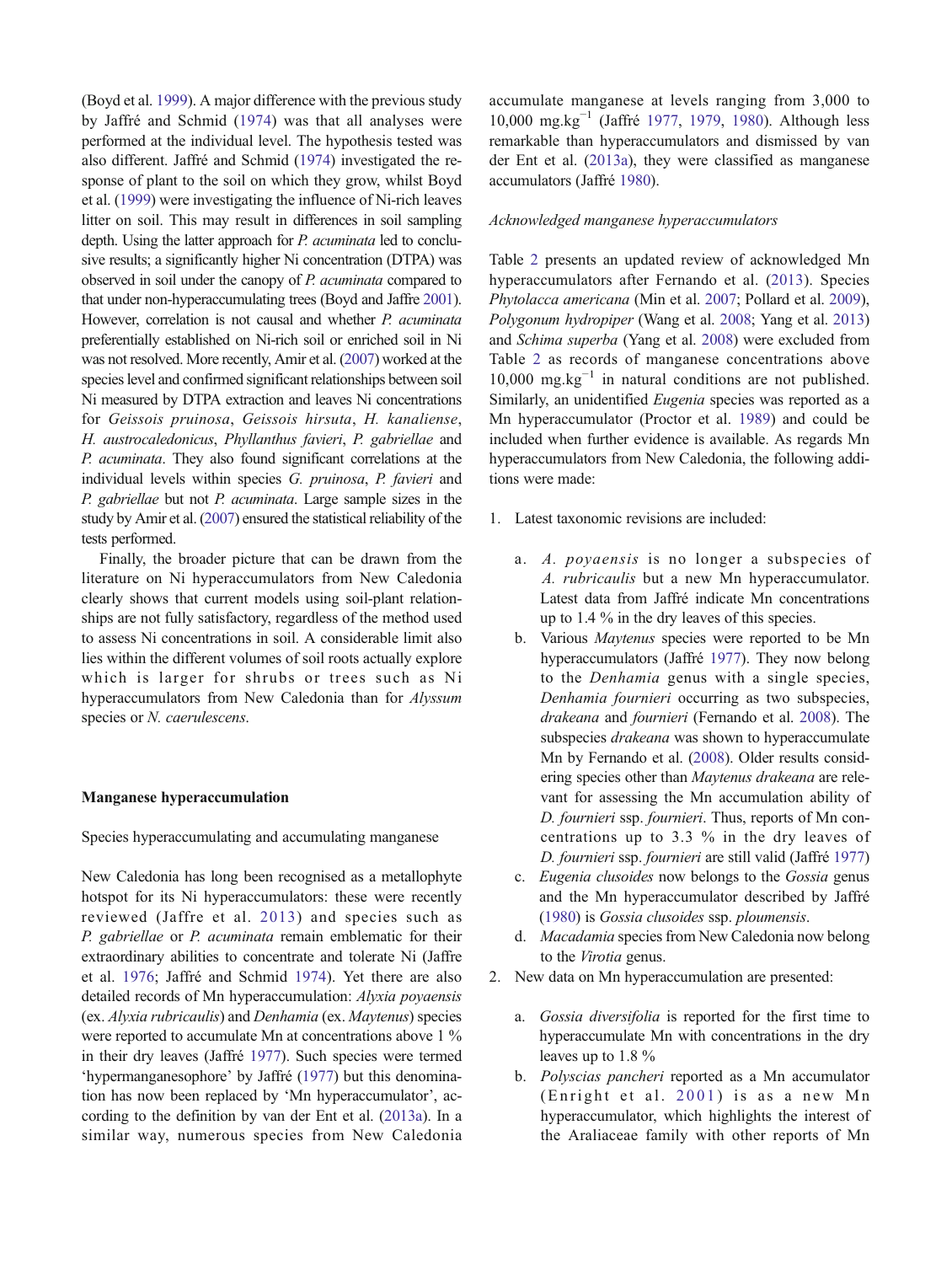(Boyd et al. 1999). A major difference with the previous study by Jaffré and Schmid (1974) was that all analyses were performed at the individual level. The hypothesis tested was also different. Jaffré and Schmid (1974) investigated the response of plant to the soil on which they grow, whilst Boyd et al. (1999) were investigating the influence of Ni-rich leaves litter on soil. This may result in differences in soil sampling depth. Using the latter approach for P. acuminata led to conclusive results; a significantly higher Ni concentration (DTPA) was observed in soil under the canopy of P. acuminata compared to that under non-hyperaccumulating trees (Boyd and Jaffre 2001). However, correlation is not causal and whether P. acuminata preferentially established on Ni-rich soil or enriched soil in Ni was not resolved. More recently, Amir et al. (2007) worked at the species level and confirmed significant relationships between soil Ni measured by DTPA extraction and leaves Ni concentrations for Geissois pruinosa, Geissois hirsuta, H. kanaliense, H. austrocaledonicus, Phyllanthus favieri, P. gabriellae and P. acuminata. They also found significant correlations at the individual levels within species G. pruinosa, P. favieri and P. gabriellae but not P. acuminata. Large sample sizes in the study by Amir et al. (2007) ensured the statistical reliability of the tests performed.

Finally, the broader picture that can be drawn from the literature on Ni hyperaccumulators from New Caledonia clearly shows that current models using soil-plant relationships are not fully satisfactory, regardless of the method used to assess Ni concentrations in soil. A considerable limit also lies within the different volumes of soil roots actually explore which is larger for shrubs or trees such as Ni hyperaccumulators from New Caledonia than for Alyssum species or N. caerulescens.

### Manganese hyperaccumulation

Species hyperaccumulating and accumulating manganese

New Caledonia has long been recognised as a metallophyte hotspot for its Ni hyperaccumulators: these were recently reviewed (Jaffre et al. 2013) and species such as P. gabriellae or P. acuminata remain emblematic for their extraordinary abilities to concentrate and tolerate Ni (Jaffre et al. 1976; Jaffré and Schmid 1974). Yet there are also detailed records of Mn hyperaccumulation: Alyxia poyaensis (ex. Alyxia rubricaulis) and Denhamia (ex. Maytenus) species were reported to accumulate Mn at concentrations above 1 % in their dry leaves (Jaffré 1977). Such species were termed 'hypermanganesophore' by Jaffré (1977) but this denomination has now been replaced by 'Mn hyperaccumulator', according to the definition by van der Ent et al. (2013a). In a similar way, numerous species from New Caledonia accumulate manganese at levels ranging from 3,000 to 10,000 mg.kg−<sup>1</sup> (Jaffré 1977, 1979, 1980). Although less remarkable than hyperaccumulators and dismissed by van der Ent et al. (2013a), they were classified as manganese accumulators (Jaffré 1980).

#### Acknowledged manganese hyperaccumulators

Table 2 presents an updated review of acknowledged Mn hyperaccumulators after Fernando et al. (2013). Species Phytolacca americana (Min et al. 2007; Pollard et al. 2009), Polygonum hydropiper (Wang et al. 2008; Yang et al. 2013) and Schima superba (Yang et al. 2008) were excluded from Table 2 as records of manganese concentrations above 10,000 mg.kg $^{-1}$  in natural conditions are not published. Similarly, an unidentified Eugenia species was reported as a Mn hyperaccumulator (Proctor et al. 1989) and could be included when further evidence is available. As regards Mn hyperaccumulators from New Caledonia, the following additions were made:

- 1. Latest taxonomic revisions are included:
	- a. A. poyaensis is no longer a subspecies of A. rubricaulis but a new Mn hyperaccumulator. Latest data from Jaffré indicate Mn concentrations up to 1.4 % in the dry leaves of this species.
	- b. Various Maytenus species were reported to be Mn hyperaccumulators (Jaffré 1977). They now belong to the Denhamia genus with a single species, Denhamia fournieri occurring as two subspecies, drakeana and fournieri (Fernando et al. 2008). The subspecies *drakeana* was shown to hyperaccumulate Mn by Fernando et al. (2008). Older results considering species other than Maytenus drakeana are relevant for assessing the Mn accumulation ability of D. fournieri ssp. fournieri. Thus, reports of Mn concentrations up to 3.3 % in the dry leaves of D. fournieri ssp. fournieri are still valid (Jaffré 1977)
	- c. Eugenia clusoides now belongs to the Gossia genus and the Mn hyperaccumulator described by Jaffré (1980) is Gossia clusoides ssp. ploumensis.
	- d. Macadamia species from New Caledonia now belong to the Virotia genus.
- 2. New data on Mn hyperaccumulation are presented:
	- a. Gossia diversifolia is reported for the first time to hyperaccumulate Mn with concentrations in the dry leaves up to 1.8 %
	- b. Polyscias pancheri reported as a Mn accumulator (Enright et al. 2001) is as a new Mn hyperaccumulator, which highlights the interest of the Araliaceae family with other reports of Mn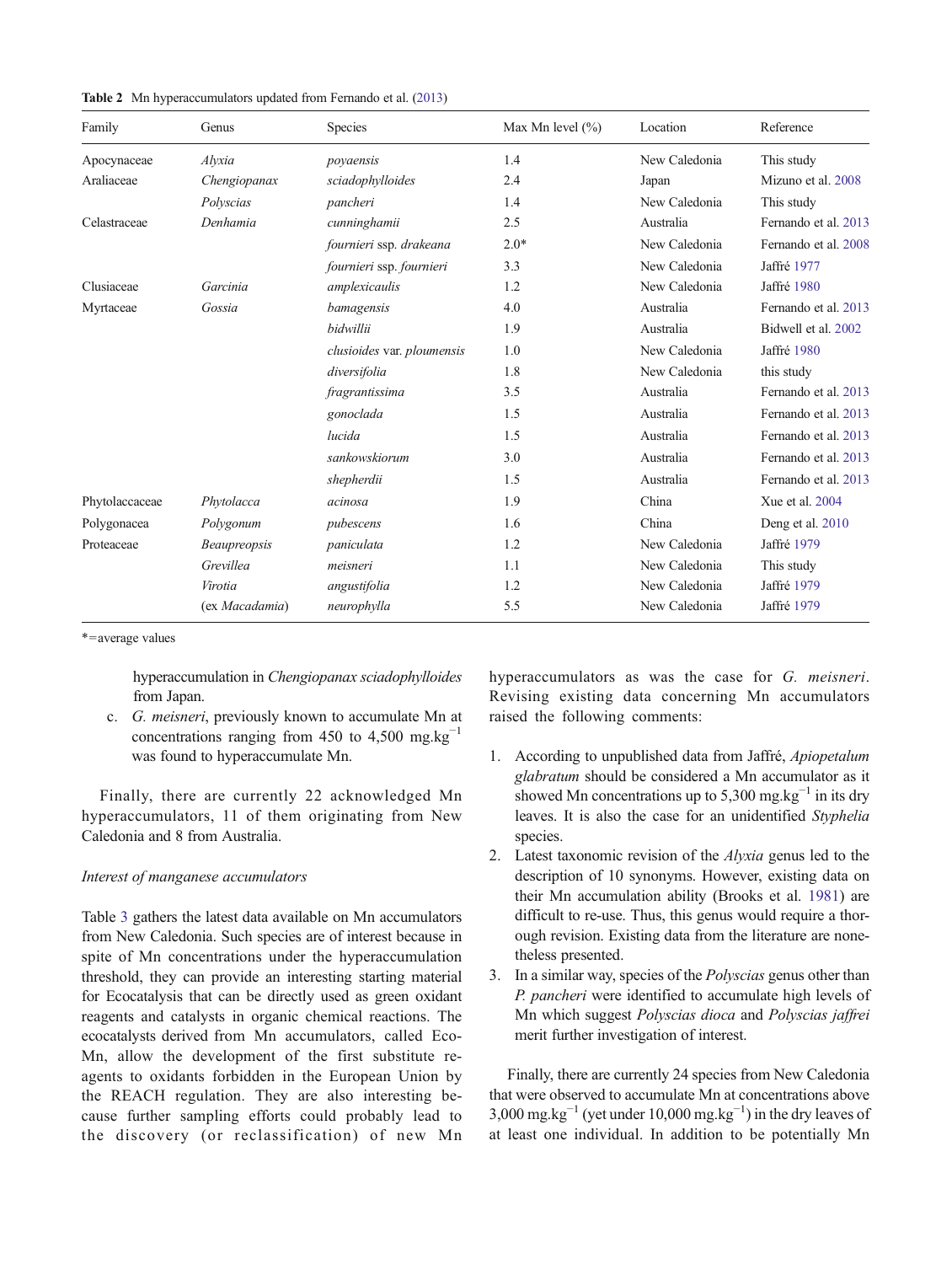|  | Table 2 Mn hyperaccumulators updated from Fernando et al. (2013) |  |  |  |
|--|------------------------------------------------------------------|--|--|--|
|--|------------------------------------------------------------------|--|--|--|

| Family         | Genus               | Species                    | Max Mn level $(\% )$ | Location      | Reference            |
|----------------|---------------------|----------------------------|----------------------|---------------|----------------------|
| Apocynaceae    | Alyxia              | poyaensis                  | 1.4                  | New Caledonia | This study           |
| Araliaceae     | Chengiopanax        | sciadophylloides           | 2.4                  | Japan         | Mizuno et al. 2008   |
|                | Polyscias           | pancheri                   | 1.4                  | New Caledonia | This study           |
| Celastraceae   | Denhamia            | cunninghamii               | 2.5                  | Australia     | Fernando et al. 2013 |
|                |                     | fournieri ssp. drakeana    | $2.0*$               | New Caledonia | Fernando et al. 2008 |
|                |                     | fournieri ssp. fournieri   | 3.3                  | New Caledonia | Jaffré 1977          |
| Clusiaceae     | Garcinia            | amplexicaulis              | 1.2                  | New Caledonia | Jaffré 1980          |
| Myrtaceae      | Gossia              | bamagensis                 | 4.0                  | Australia     | Fernando et al. 2013 |
|                |                     | <b>bidwillii</b>           | 1.9                  | Australia     | Bidwell et al. 2002  |
|                |                     | clusioides var. ploumensis | 1.0                  | New Caledonia | Jaffré 1980          |
|                |                     | diversifolia               | 1.8                  | New Caledonia | this study           |
|                |                     | fragrantissima             | 3.5                  | Australia     | Fernando et al. 2013 |
|                |                     | gonoclada                  | 1.5                  | Australia     | Fernando et al. 2013 |
|                |                     | lucida                     | 1.5                  | Australia     | Fernando et al. 2013 |
|                |                     | sankowskiorum              | 3.0                  | Australia     | Fernando et al. 2013 |
|                |                     | shepherdii                 | 1.5                  | Australia     | Fernando et al. 2013 |
| Phytolaccaceae | Phytolacca          | acinosa                    | 1.9                  | China         | Xue et al. 2004      |
| Polygonacea    | Polygonum           | pubescens                  | 1.6                  | China         | Deng et al. 2010     |
| Proteaceae     | <b>Beaupreopsis</b> | paniculata                 | 1.2                  | New Caledonia | Jaffré 1979          |
|                | Grevillea           | meisneri                   | 1.1                  | New Caledonia | This study           |
|                | Virotia             | angustifolia               | 1.2                  | New Caledonia | Jaffré 1979          |
|                | (ex Macadamia)      | neurophylla                | 5.5                  | New Caledonia | Jaffré 1979          |

\*=average values

hyperaccumulation in Chengiopanax sciadophylloides from Japan.

c. G. meisneri, previously known to accumulate Mn at concentrations ranging from 450 to 4,500 mg.kg<sup> $-1$ </sup> was found to hyperaccumulate Mn.

Finally, there are currently 22 acknowledged Mn hyperaccumulators, 11 of them originating from New Caledonia and 8 from Australia.

#### Interest of manganese accumulators

Table 3 gathers the latest data available on Mn accumulators from New Caledonia. Such species are of interest because in spite of Mn concentrations under the hyperaccumulation threshold, they can provide an interesting starting material for Ecocatalysis that can be directly used as green oxidant reagents and catalysts in organic chemical reactions. The ecocatalysts derived from Mn accumulators, called Eco-Mn, allow the development of the first substitute reagents to oxidants forbidden in the European Union by the REACH regulation. They are also interesting because further sampling efforts could probably lead to the discovery (or reclassification) of new Mn hyperaccumulators as was the case for G. meisneri. Revising existing data concerning Mn accumulators raised the following comments:

- 1. According to unpublished data from Jaffré, Apiopetalum glabratum should be considered a Mn accumulator as it showed Mn concentrations up to 5,300 mg.kg<sup> $-1$ </sup> in its dry leaves. It is also the case for an unidentified Styphelia species.
- 2. Latest taxonomic revision of the Alyxia genus led to the description of 10 synonyms. However, existing data on their Mn accumulation ability (Brooks et al. 1981) are difficult to re-use. Thus, this genus would require a thorough revision. Existing data from the literature are nonetheless presented.
- 3. In a similar way, species of the Polyscias genus other than P. pancheri were identified to accumulate high levels of Mn which suggest Polyscias dioca and Polyscias jaffrei merit further investigation of interest.

Finally, there are currently 24 species from New Caledonia that were observed to accumulate Mn at concentrations above 3,000 mg.kg<sup>-1</sup> (yet under 10,000 mg.kg<sup>-1</sup>) in the dry leaves of at least one individual. In addition to be potentially Mn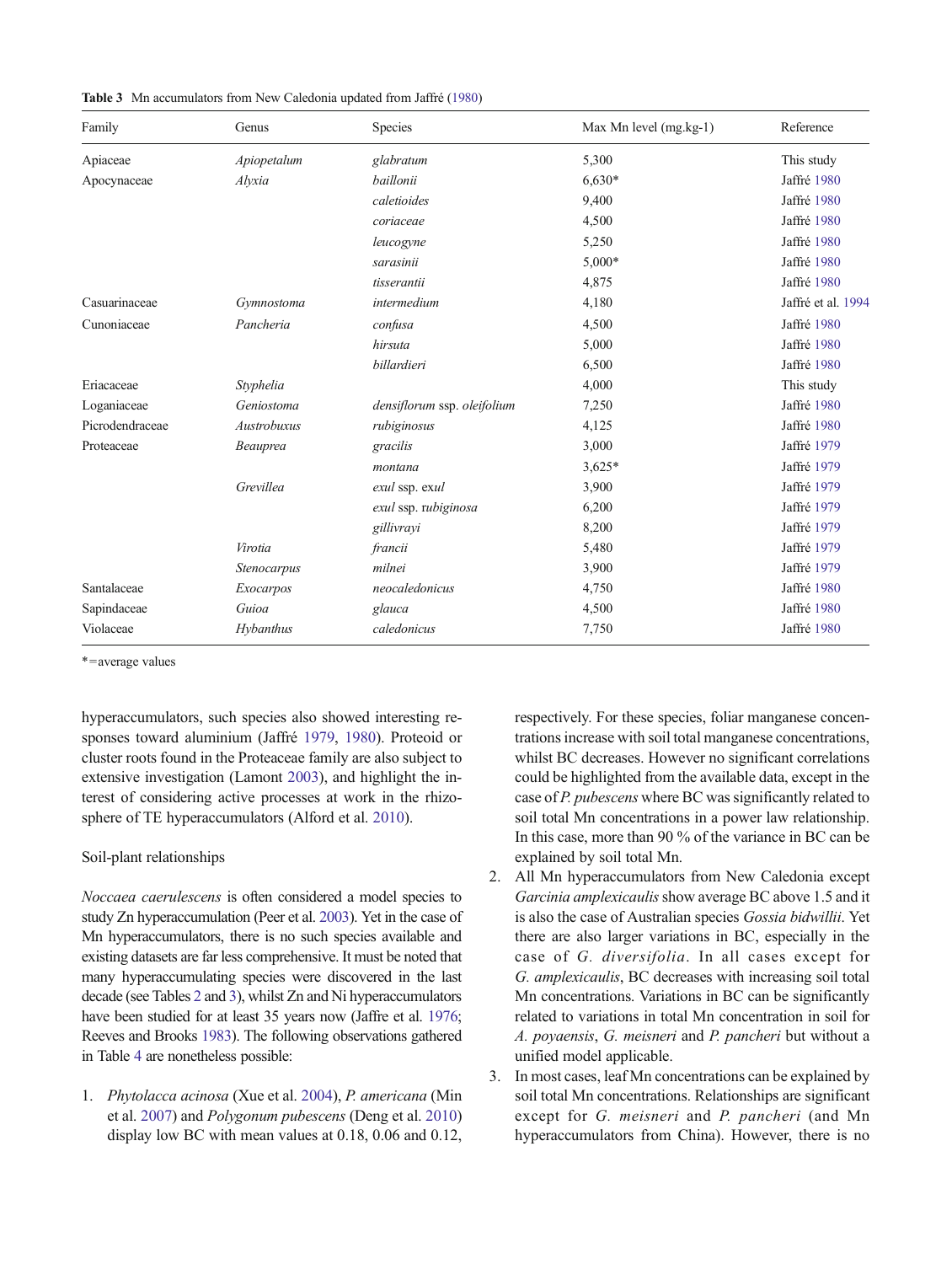| Family          | Genus            | Species                     | Max Mn level $(mg.kg-1)$ | Reference          |
|-----------------|------------------|-----------------------------|--------------------------|--------------------|
| Apiaceae        | Apiopetalum      | glabratum                   | 5,300                    | This study         |
| Apocynaceae     | Alyxia           | <b>baillonii</b>            | $6,630*$                 | Jaffré 1980        |
|                 |                  | caletioides                 | 9,400                    | Jaffré 1980        |
|                 |                  | coriaceae                   | 4,500                    | Jaffré 1980        |
|                 |                  | leucogyne                   | 5,250                    | Jaffré 1980        |
|                 |                  | sarasinii                   | 5,000*                   | Jaffré 1980        |
|                 |                  | tisserantii                 | 4,875                    | Jaffré 1980        |
| Casuarinaceae   | Gymnostoma       | intermedium                 | 4,180                    | Jaffré et al. 1994 |
| Cunoniaceae     | Pancheria        | confusa                     | 4,500                    | Jaffré 1980        |
|                 |                  | hirsuta                     | 5,000                    | Jaffré 1980        |
|                 |                  | billardieri                 | 6,500                    | Jaffré 1980        |
| Eriacaceae      | Styphelia        |                             | 4,000                    | This study         |
| Loganiaceae     | Geniostoma       | densiflorum ssp. oleifolium | 7,250                    | Jaffré 1980        |
| Picrodendraceae | Austrobuxus      | rubiginosus                 | 4,125                    | Jaffré 1980        |
| Proteaceae      | Beauprea         | gracilis                    | 3,000                    | Jaffré 1979        |
|                 |                  | montana                     | $3,625*$                 | Jaffré 1979        |
|                 | Grevillea        | exul ssp. exul              | 3,900                    | Jaffré 1979        |
|                 |                  | exul ssp. rubiginosa        | 6,200                    | Jaffré 1979        |
|                 |                  | gillivrayi                  | 8,200                    | Jaffré 1979        |
|                 | Virotia          | francii                     | 5,480                    | Jaffré 1979        |
|                 | Stenocarpus      | milnei                      | 3,900                    | Jaffré 1979        |
| Santalaceae     | <i>Exocarpos</i> | neocaledonicus              | 4,750                    | Jaffré 1980        |
| Sapindaceae     | Guioa            | glauca                      | 4,500                    | Jaffré 1980        |
| Violaceae       | Hybanthus        | caledonicus                 | 7,750                    | Jaffré 1980        |

Table 3 Mn accumulators from New Caledonia updated from Jaffré (1980)

\*=average values

hyperaccumulators, such species also showed interesting responses toward aluminium (Jaffré 1979, 1980). Proteoid or cluster roots found in the Proteaceae family are also subject to extensive investigation (Lamont 2003), and highlight the interest of considering active processes at work in the rhizosphere of TE hyperaccumulators (Alford et al. 2010).

### Soil-plant relationships

Noccaea caerulescens is often considered a model species to study Zn hyperaccumulation (Peer et al. 2003). Yet in the case of Mn hyperaccumulators, there is no such species available and existing datasets are far less comprehensive. It must be noted that many hyperaccumulating species were discovered in the last decade (see Tables 2 and 3), whilst Zn and Ni hyperaccumulators have been studied for at least 35 years now (Jaffre et al. 1976; Reeves and Brooks 1983). The following observations gathered in Table 4 are nonetheless possible:

1. Phytolacca acinosa (Xue et al. 2004), P. americana (Min et al. 2007) and Polygonum pubescens (Deng et al. 2010) display low BC with mean values at 0.18, 0.06 and 0.12, respectively. For these species, foliar manganese concentrations increase with soil total manganese concentrations, whilst BC decreases. However no significant correlations could be highlighted from the available data, except in the case of P. pubescens where BC was significantly related to soil total Mn concentrations in a power law relationship. In this case, more than 90 % of the variance in BC can be explained by soil total Mn.

- 2. All Mn hyperaccumulators from New Caledonia except Garcinia amplexicaulis show average BC above 1.5 and it is also the case of Australian species Gossia bidwillii. Yet there are also larger variations in BC, especially in the case of G. diversifolia. In all cases except for G. amplexicaulis, BC decreases with increasing soil total Mn concentrations. Variations in BC can be significantly related to variations in total Mn concentration in soil for A. poyaensis, G. meisneri and P. pancheri but without a unified model applicable.
- 3. In most cases, leaf Mn concentrations can be explained by soil total Mn concentrations. Relationships are significant except for G. meisneri and P. pancheri (and Mn hyperaccumulators from China). However, there is no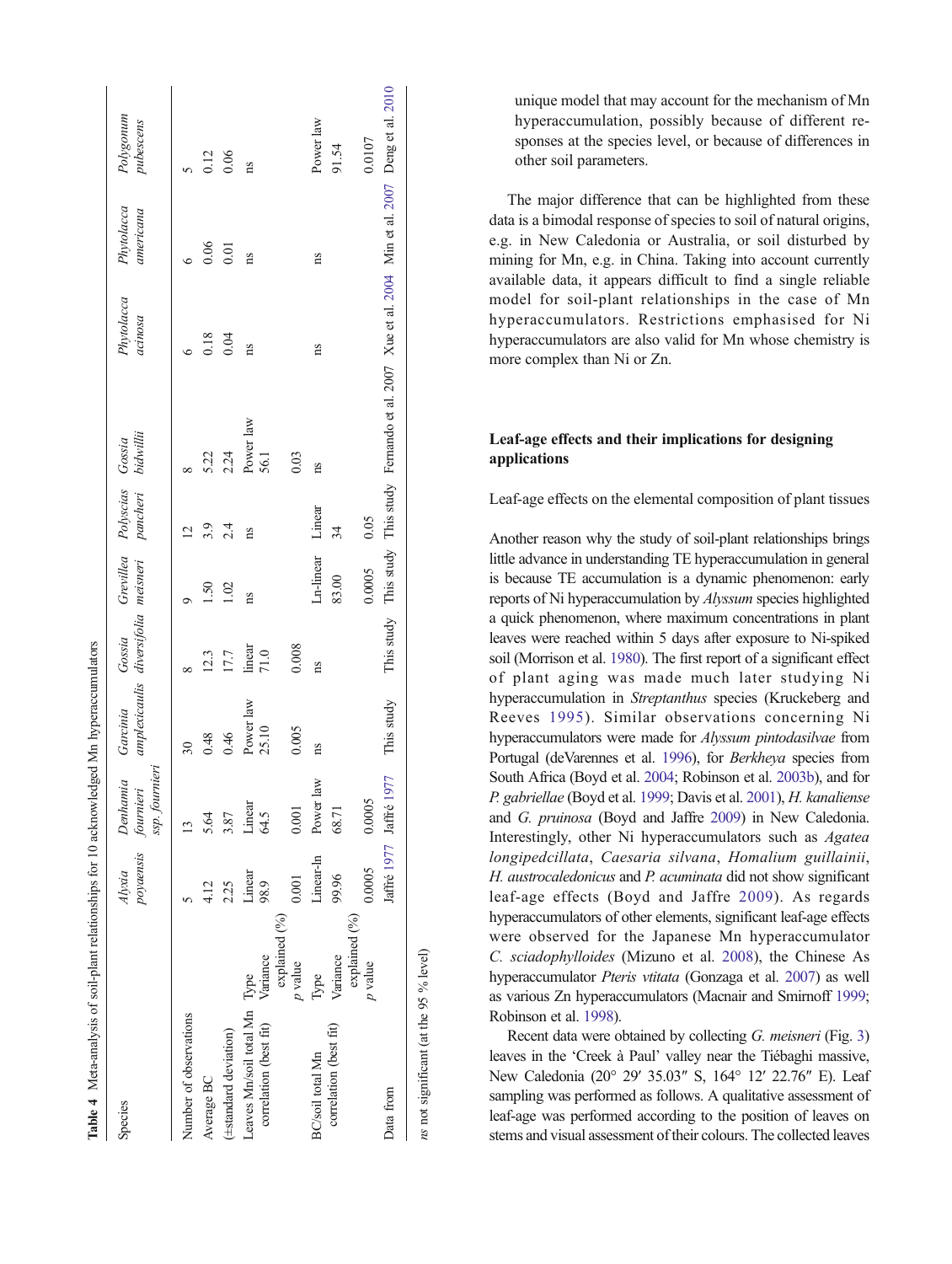| Table 4 Meta-analysis of soil-plant relationships for 10 acknowledged Mn hyperaccumulators |                                   |                               |                                     |                                                        |                |                            |                |                                                                                                        |                       |                         |                        |
|--------------------------------------------------------------------------------------------|-----------------------------------|-------------------------------|-------------------------------------|--------------------------------------------------------|----------------|----------------------------|----------------|--------------------------------------------------------------------------------------------------------|-----------------------|-------------------------|------------------------|
| Species                                                                                    |                                   | poyaensis fournieri<br>Alyxia | Denhamia Garcinia<br>ssp. fournieri | amplexicaulis diversifolia meisneri pancheri bidwillii | Gossia         | Grevillea Polyscias Gossia |                |                                                                                                        | Phytolacca<br>acinosa | Phytolacca<br>americana | Polygonum<br>pubescens |
| Number of observations                                                                     |                                   |                               |                                     | $\overline{30}$                                        |                |                            | $\overline{c}$ |                                                                                                        |                       |                         |                        |
| Average BC                                                                                 |                                   | 4.12                          | 5.64                                | 0.48                                                   | 12.3           | 1.50                       | 3.9            | 5.22                                                                                                   | 0.18                  | 0.06                    | 0.12                   |
| (±standard deviation)                                                                      |                                   | 2.25                          | 3.87                                | 0.46                                                   | 17.7           | 1.02                       | 2.4            | 2.24                                                                                                   | 0.04                  | 0.01                    | 0.06                   |
| Leaves Mn/soil total Mn Type<br>correlation (best fit)                                     | Variance                          | Linear<br>98.9                | Linear<br>64.5                      | Power law<br>25.10                                     | linear<br>71.0 | ns                         | ns             | Power law<br>56.1                                                                                      | ns                    | ns                      | ns                     |
|                                                                                            | explained $(%)$<br><i>p</i> value | 0.001                         | 0.001                               | 0.005                                                  | 0.008          |                            |                | 0.03                                                                                                   |                       |                         |                        |
| <b>BC</b> /soil total Mn                                                                   | Type                              | Linear-In                     | Power law                           | ns                                                     | ns             | Ln-linear Linear           |                | ns                                                                                                     | ns                    | ns                      | Power law              |
| correlation (best fit)                                                                     | Variance                          | 99.96                         | 68.71                               |                                                        |                | 83.00                      | 34             |                                                                                                        |                       |                         | 91.54                  |
|                                                                                            | explained $(%$<br>$p$ value       | 0.0005                        | 0.0005                              |                                                        |                | 0.0005                     | 0.05           |                                                                                                        |                       |                         | 0.0107                 |
| Data from                                                                                  |                                   |                               | Jaffré 1977 Jaffré 1977 This study  |                                                        |                |                            |                | This study This study This study Fernando et al. 2007 Xue et al. 2004 Min et al. 2007 Deng et al. 2010 |                       |                         |                        |
| ns not significant (at the 95 % level)                                                     |                                   |                               |                                     |                                                        |                |                            |                |                                                                                                        |                       |                         |                        |

unique model that may account for the mechanism of Mn hyperaccumulation, possibly because of different responses at the species level, or because of differences in other soil parameters.

The major difference that can be highlighted from these data is a bimodal response of species to soil of natural origins, e.g. in New Caledonia or Australia, or soil disturbed by mining for Mn, e.g. in China. Taking into account currently available data, it appears difficult to find a single reliable model for soil-plant relationships in the case of Mn hyperaccumulators. Restrictions emphasised for Ni hyperaccumulators are also valid for Mn whose chemistry is more complex than Ni or Zn.

### Leaf-age effects and their implications for designing applications

Leaf-age effects on the elemental composition of plant tissues

Another reason why the study of soil-plant relationships brings little advance in understanding TE hyperaccumulation in general is because TE accumulation is a dynamic phenomenon: early reports of Ni hyperaccumulation by Alyssum species highlighted a quick phenomenon, where maximum concentrations in plant leaves were reached within 5 days after exposure to Ni-spiked soil (Morrison et al. 1980). The first report of a significant effect of plant aging was made much later studying Ni hyperaccumulation in Streptanthus species (Kruckeberg and Reeves 1995). Similar observations concerning Ni hyperaccumulators were made for Alyssum pintodasilvae from Portugal (deVarennes et al. 1996), for Berkheya species from South Africa (Boyd et al. 2004; Robinson et al. 2003b), and for P. gabriellae (Boyd et al. 1999; Davis et al. 2001), H. kanaliense and G. pruinosa (Boyd and Jaffre 2009) in New Caledonia. Interestingly, other Ni hyperaccumulators such as Agatea longipedcillata, Caesaria silvana, Homalium guillainii, H. austrocaledonicus and P. acuminata did not show significant leaf-age effects (Boyd and Jaffre 2009). As regards hyperaccumulators of other elements, significant leaf-age effects were observed for the Japanese Mn hyperaccumulator C. sciadophylloides (Mizuno et al. 2008), the Chinese As hyperaccumulator Pteris vtitata (Gonzaga et al. 2007) as well as various Zn hyperaccumulators (Macnair and Smirnoff 1999 ; Robinson et al. 1998).

Recent data were obtained by collecting G. meisneri (Fig. 3) leaves in the 'Creek à Paul ' valley near the Tiébaghi massive, New Caledonia (20° 29' 35.03" S, 164° 12' 22.76" E). Leaf sampling was performed as follows. A qualitative assessment of leaf-age was performed according to the position of leaves on stems and visual assessment of their colours. The collected leaves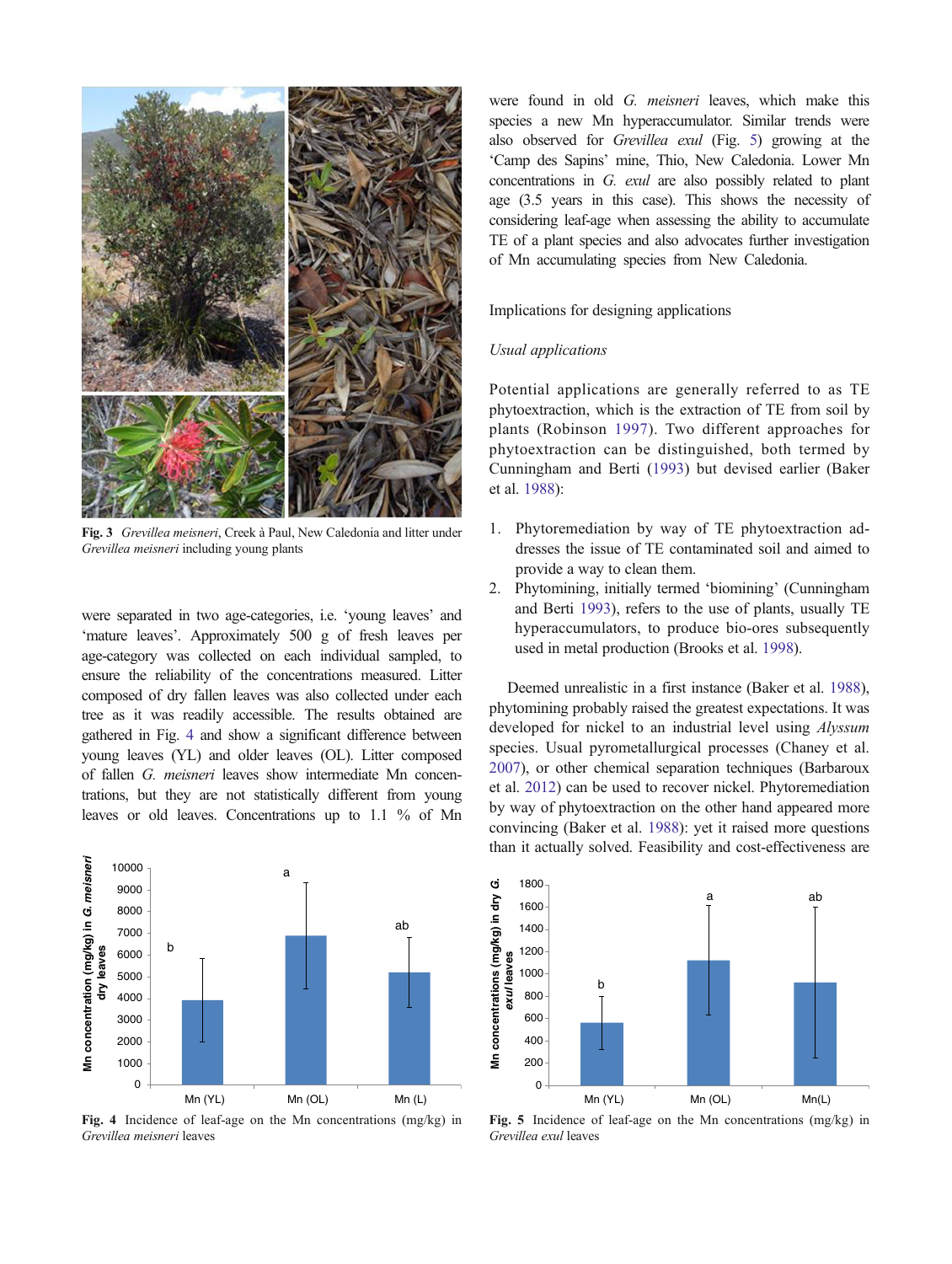

Fig. 3 Grevillea meisneri, Creek à Paul, New Caledonia and litter under Grevillea meisneri including young plants

were separated in two age-categories, i.e. 'young leaves' and 'mature leaves'. Approximately 500 g of fresh leaves per age-category was collected on each individual sampled, to ensure the reliability of the concentrations measured. Litter composed of dry fallen leaves was also collected under each tree as it was readily accessible. The results obtained are gathered in Fig. 4 and show a significant difference between young leaves (YL) and older leaves (OL). Litter composed of fallen G. meisneri leaves show intermediate Mn concentrations, but they are not statistically different from young leaves or old leaves. Concentrations up to 1.1 % of Mn



Fig. 4 Incidence of leaf-age on the Mn concentrations (mg/kg) in Grevillea meisneri leaves

were found in old G. meisneri leaves, which make this species a new Mn hyperaccumulator. Similar trends were also observed for Grevillea exul (Fig. 5) growing at the 'Camp des Sapins' mine, Thio, New Caledonia. Lower Mn concentrations in G. exul are also possibly related to plant age (3.5 years in this case). This shows the necessity of considering leaf-age when assessing the ability to accumulate TE of a plant species and also advocates further investigation of Mn accumulating species from New Caledonia.

Implications for designing applications

#### Usual applications

Potential applications are generally referred to as TE phytoextraction, which is the extraction of TE from soil by plants (Robinson 1997). Two different approaches for phytoextraction can be distinguished, both termed by Cunningham and Berti (1993) but devised earlier (Baker et al. 1988):

- 1. Phytoremediation by way of TE phytoextraction addresses the issue of TE contaminated soil and aimed to provide a way to clean them.
- 2. Phytomining, initially termed 'biomining' (Cunningham and Berti 1993), refers to the use of plants, usually TE hyperaccumulators, to produce bio-ores subsequently used in metal production (Brooks et al. 1998).

Deemed unrealistic in a first instance (Baker et al. 1988), phytomining probably raised the greatest expectations. It was developed for nickel to an industrial level using *Alyssum* species. Usual pyrometallurgical processes (Chaney et al. 2007), or other chemical separation techniques (Barbaroux et al. 2012) can be used to recover nickel. Phytoremediation by way of phytoextraction on the other hand appeared more convincing (Baker et al. 1988): yet it raised more questions than it actually solved. Feasibility and cost-effectiveness are



Fig. 5 Incidence of leaf-age on the Mn concentrations (mg/kg) in Grevillea exul leaves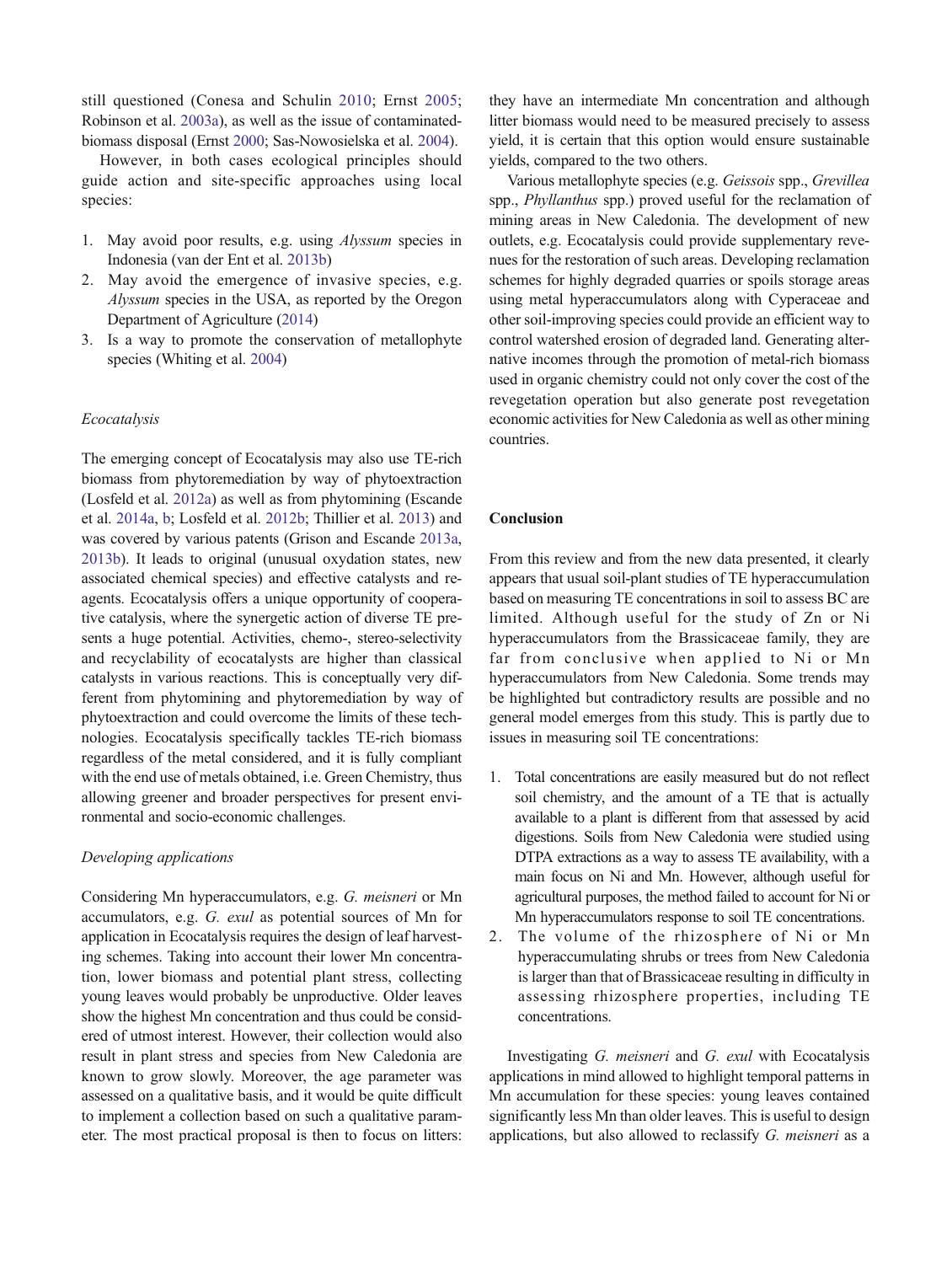still questioned (Conesa and Schulin 2010; Ernst 2005; Robinson et al. 2003a), as well as the issue of contaminatedbiomass disposal (Ernst 2000; Sas-Nowosielska et al. 2004).

However, in both cases ecological principles should guide action and site-specific approaches using local species:

- 1. May avoid poor results, e.g. using Alyssum species in Indonesia (van der Ent et al. 2013b)
- 2. May avoid the emergence of invasive species, e.g. Alyssum species in the USA, as reported by the Oregon Department of Agriculture (2014)
- 3. Is a way to promote the conservation of metallophyte species (Whiting et al. 2004)

#### Ecocatalysis

The emerging concept of Ecocatalysis may also use TE-rich biomass from phytoremediation by way of phytoextraction (Losfeld et al. 2012a) as well as from phytomining (Escande et al. 2014a, b; Losfeld et al. 2012b; Thillier et al. 2013) and was covered by various patents (Grison and Escande 2013a, 2013b). It leads to original (unusual oxydation states, new associated chemical species) and effective catalysts and reagents. Ecocatalysis offers a unique opportunity of cooperative catalysis, where the synergetic action of diverse TE presents a huge potential. Activities, chemo-, stereo-selectivity and recyclability of ecocatalysts are higher than classical catalysts in various reactions. This is conceptually very different from phytomining and phytoremediation by way of phytoextraction and could overcome the limits of these technologies. Ecocatalysis specifically tackles TE-rich biomass regardless of the metal considered, and it is fully compliant with the end use of metals obtained, i.e. Green Chemistry, thus allowing greener and broader perspectives for present environmental and socio-economic challenges.

#### Developing applications

Considering Mn hyperaccumulators, e.g. G. meisneri or Mn accumulators, e.g. G. exul as potential sources of Mn for application in Ecocatalysis requires the design of leaf harvesting schemes. Taking into account their lower Mn concentration, lower biomass and potential plant stress, collecting young leaves would probably be unproductive. Older leaves show the highest Mn concentration and thus could be considered of utmost interest. However, their collection would also result in plant stress and species from New Caledonia are known to grow slowly. Moreover, the age parameter was assessed on a qualitative basis, and it would be quite difficult to implement a collection based on such a qualitative parameter. The most practical proposal is then to focus on litters: they have an intermediate Mn concentration and although litter biomass would need to be measured precisely to assess yield, it is certain that this option would ensure sustainable yields, compared to the two others.

Various metallophyte species (e.g. Geissois spp., Grevillea spp., Phyllanthus spp.) proved useful for the reclamation of mining areas in New Caledonia. The development of new outlets, e.g. Ecocatalysis could provide supplementary revenues for the restoration of such areas. Developing reclamation schemes for highly degraded quarries or spoils storage areas using metal hyperaccumulators along with Cyperaceae and other soil-improving species could provide an efficient way to control watershed erosion of degraded land. Generating alternative incomes through the promotion of metal-rich biomass used in organic chemistry could not only cover the cost of the revegetation operation but also generate post revegetation economic activities for New Caledonia as well as other mining countries.

### Conclusion

From this review and from the new data presented, it clearly appears that usual soil-plant studies of TE hyperaccumulation based on measuring TE concentrations in soil to assess BC are limited. Although useful for the study of Zn or Ni hyperaccumulators from the Brassicaceae family, they are far from conclusive when applied to Ni or Mn hyperaccumulators from New Caledonia. Some trends may be highlighted but contradictory results are possible and no general model emerges from this study. This is partly due to issues in measuring soil TE concentrations:

- 1. Total concentrations are easily measured but do not reflect soil chemistry, and the amount of a TE that is actually available to a plant is different from that assessed by acid digestions. Soils from New Caledonia were studied using DTPA extractions as a way to assess TE availability, with a main focus on Ni and Mn. However, although useful for agricultural purposes, the method failed to account for Ni or Mn hyperaccumulators response to soil TE concentrations.
- 2. The volume of the rhizosphere of Ni or Mn hyperaccumulating shrubs or trees from New Caledonia is larger than that of Brassicaceae resulting in difficulty in assessing rhizosphere properties, including TE concentrations.

Investigating G. meisneri and G. exul with Ecocatalysis applications in mind allowed to highlight temporal patterns in Mn accumulation for these species: young leaves contained significantly less Mn than older leaves. This is useful to design applications, but also allowed to reclassify G. meisneri as a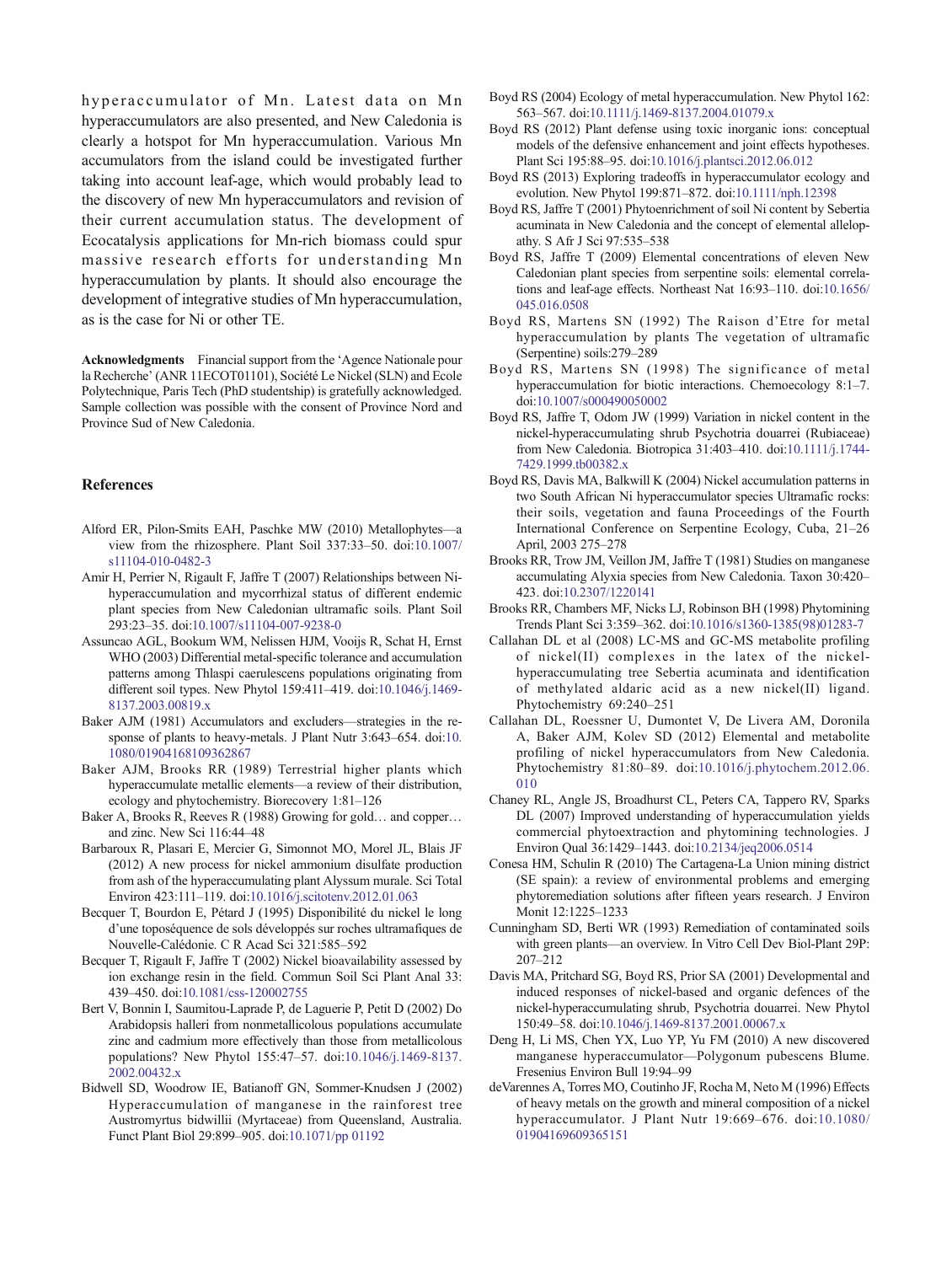hyperaccumulator of Mn. Latest data on Mn hyperaccumulators are also presented, and New Caledonia is clearly a hotspot for Mn hyperaccumulation. Various Mn accumulators from the island could be investigated further taking into account leaf-age, which would probably lead to the discovery of new Mn hyperaccumulators and revision of their current accumulation status. The development of Ecocatalysis applications for Mn-rich biomass could spur massive research efforts for understanding Mn hyperaccumulation by plants. It should also encourage the development of integrative studies of Mn hyperaccumulation, as is the case for Ni or other TE.

Acknowledgments Financial support from the 'Agence Nationale pour la Recherche' (ANR 11ECOT01101), Société Le Nickel (SLN) and Ecole Polytechnique, Paris Tech (PhD studentship) is gratefully acknowledged. Sample collection was possible with the consent of Province Nord and Province Sud of New Caledonia.

#### **References**

- Alford ER, Pilon-Smits EAH, Paschke MW (2010) Metallophytes—a view from the rhizosphere. Plant Soil 337:33–50. doi[:10.1007/](http://dx.doi.org/10.1007/s11104-010-0482-3) [s11104-010-0482-3](http://dx.doi.org/10.1007/s11104-010-0482-3)
- Amir H, Perrier N, Rigault F, Jaffre T (2007) Relationships between Nihyperaccumulation and mycorrhizal status of different endemic plant species from New Caledonian ultramafic soils. Plant Soil 293:23–35. doi[:10.1007/s11104-007-9238-0](http://dx.doi.org/10.1007/s11104-007-9238-0)
- Assuncao AGL, Bookum WM, Nelissen HJM, Vooijs R, Schat H, Ernst WHO (2003) Differential metal-specific tolerance and accumulation patterns among Thlaspi caerulescens populations originating from different soil types. New Phytol 159:411–419. doi:[10.1046/j.1469-](http://dx.doi.org/10.1046/j.1469-8137.2003.00819.x) [8137.2003.00819.x](http://dx.doi.org/10.1046/j.1469-8137.2003.00819.x)
- Baker AJM (1981) Accumulators and excluders—strategies in the response of plants to heavy-metals. J Plant Nutr 3:643–654. doi:[10.](http://dx.doi.org/10.1080/01904168109362867) [1080/01904168109362867](http://dx.doi.org/10.1080/01904168109362867)
- Baker AJM, Brooks RR (1989) Terrestrial higher plants which hyperaccumulate metallic elements—a review of their distribution, ecology and phytochemistry. Biorecovery 1:81–126
- Baker A, Brooks R, Reeves R (1988) Growing for gold... and copper... and zinc. New Sci 116:44–48
- Barbaroux R, Plasari E, Mercier G, Simonnot MO, Morel JL, Blais JF (2012) A new process for nickel ammonium disulfate production from ash of the hyperaccumulating plant Alyssum murale. Sci Total Environ 423:111–119. doi[:10.1016/j.scitotenv.2012.01.063](http://dx.doi.org/10.1016/j.scitotenv.2012.01.063)
- Becquer T, Bourdon E, Pétard J (1995) Disponibilité du nickel le long d'une toposéquence de sols développés sur roches ultramafiques de Nouvelle-Calédonie. C R Acad Sci 321:585–592
- Becquer T, Rigault F, Jaffre T (2002) Nickel bioavailability assessed by ion exchange resin in the field. Commun Soil Sci Plant Anal 33: 439–450. doi[:10.1081/css-120002755](http://dx.doi.org/10.1081/css-120002755)
- Bert V, Bonnin I, Saumitou-Laprade P, de Laguerie P, Petit D (2002) Do Arabidopsis halleri from nonmetallicolous populations accumulate zinc and cadmium more effectively than those from metallicolous populations? New Phytol 155:47–57. doi:[10.1046/j.1469-8137.](http://dx.doi.org/10.1046/j.1469-8137.2002.00432.x) [2002.00432.x](http://dx.doi.org/10.1046/j.1469-8137.2002.00432.x)
- Bidwell SD, Woodrow IE, Batianoff GN, Sommer-Knudsen J (2002) Hyperaccumulation of manganese in the rainforest tree Austromyrtus bidwillii (Myrtaceae) from Queensland, Australia. Funct Plant Biol 29:899–905. doi:[10.1071/pp 01192](http://dx.doi.org/10.1071/pp%2001192)
- Boyd RS (2004) Ecology of metal hyperaccumulation. New Phytol 162: 563–567. doi[:10.1111/j.1469-8137.2004.01079.x](http://dx.doi.org/10.1111/j.1469-8137.2004.01079.x)
- Boyd RS (2012) Plant defense using toxic inorganic ions: conceptual models of the defensive enhancement and joint effects hypotheses. Plant Sci 195:88–95. doi[:10.1016/j.plantsci.2012.06.012](http://dx.doi.org/10.1016/j.plantsci.2012.06.012)
- Boyd RS (2013) Exploring tradeoffs in hyperaccumulator ecology and evolution. New Phytol 199:871–872. doi[:10.1111/nph.12398](http://dx.doi.org/10.1111/nph.12398)
- Boyd RS, Jaffre T (2001) Phytoenrichment of soil Ni content by Sebertia acuminata in New Caledonia and the concept of elemental allelopathy. S Afr J Sci 97:535–538
- Boyd RS, Jaffre T (2009) Elemental concentrations of eleven New Caledonian plant species from serpentine soils: elemental correlations and leaf-age effects. Northeast Nat 16:93–110. doi[:10.1656/](http://dx.doi.org/10.1656/045.016.0508) [045.016.0508](http://dx.doi.org/10.1656/045.016.0508)
- Boyd RS, Martens SN (1992) The Raison d'Etre for metal hyperaccumulation by plants The vegetation of ultramafic (Serpentine) soils:279–289
- Boyd RS, Martens SN (1998) The significance of metal hyperaccumulation for biotic interactions. Chemoecology 8:1-7. doi:[10.1007/s000490050002](http://dx.doi.org/10.1007/s000490050002)
- Boyd RS, Jaffre T, Odom JW (1999) Variation in nickel content in the nickel-hyperaccumulating shrub Psychotria douarrei (Rubiaceae) from New Caledonia. Biotropica 31:403–410. doi:[10.1111/j.1744-](http://dx.doi.org/10.1111/j.1744-7429.1999.tb00382.x) [7429.1999.tb00382.x](http://dx.doi.org/10.1111/j.1744-7429.1999.tb00382.x)
- Boyd RS, Davis MA, Balkwill K (2004) Nickel accumulation patterns in two South African Ni hyperaccumulator species Ultramafic rocks: their soils, vegetation and fauna Proceedings of the Fourth International Conference on Serpentine Ecology, Cuba, 21–26 April, 2003 275–278
- Brooks RR, Trow JM, Veillon JM, Jaffre T (1981) Studies on manganese accumulating Alyxia species from New Caledonia. Taxon 30:420– 423. doi[:10.2307/1220141](http://dx.doi.org/10.2307/1220141)
- Brooks RR, Chambers MF, Nicks LJ, Robinson BH (1998) Phytomining Trends Plant Sci 3:359–362. doi:[10.1016/s1360-1385\(98\)01283-7](http://dx.doi.org/10.1016/s1360-1385(98)01283-7)
- Callahan DL et al (2008) LC-MS and GC-MS metabolite profiling of nickel(II) complexes in the latex of the nickelhyperaccumulating tree Sebertia acuminata and identification of methylated aldaric acid as a new nickel(II) ligand. Phytochemistry 69:240–251
- Callahan DL, Roessner U, Dumontet V, De Livera AM, Doronila A, Baker AJM, Kolev SD (2012) Elemental and metabolite profiling of nickel hyperaccumulators from New Caledonia. Phytochemistry 81:80–89. doi:[10.1016/j.phytochem.2012.06.](http://dx.doi.org/10.1016/j.phytochem.2012.06.010) [010](http://dx.doi.org/10.1016/j.phytochem.2012.06.010)
- Chaney RL, Angle JS, Broadhurst CL, Peters CA, Tappero RV, Sparks DL (2007) Improved understanding of hyperaccumulation yields commercial phytoextraction and phytomining technologies. J Environ Qual 36:1429–1443. doi:[10.2134/jeq2006.0514](http://dx.doi.org/10.2134/jeq2006.0514)
- Conesa HM, Schulin R (2010) The Cartagena-La Union mining district (SE spain): a review of environmental problems and emerging phytoremediation solutions after fifteen years research. J Environ Monit 12:1225–1233
- Cunningham SD, Berti WR (1993) Remediation of contaminated soils with green plants—an overview. In Vitro Cell Dev Biol-Plant 29P: 207–212
- Davis MA, Pritchard SG, Boyd RS, Prior SA (2001) Developmental and induced responses of nickel-based and organic defences of the nickel-hyperaccumulating shrub, Psychotria douarrei. New Phytol 150:49–58. doi[:10.1046/j.1469-8137.2001.00067.x](http://dx.doi.org/10.1046/j.1469-8137.2001.00067.x)
- Deng H, Li MS, Chen YX, Luo YP, Yu FM (2010) A new discovered manganese hyperaccumulator—Polygonum pubescens Blume. Fresenius Environ Bull 19:94–99
- deVarennes A, Torres MO, Coutinho JF, Rocha M, Neto M (1996) Effects of heavy metals on the growth and mineral composition of a nickel hyperaccumulator. J Plant Nutr 19:669–676. doi:[10.1080/](http://dx.doi.org/10.1080/01904169609365151) [01904169609365151](http://dx.doi.org/10.1080/01904169609365151)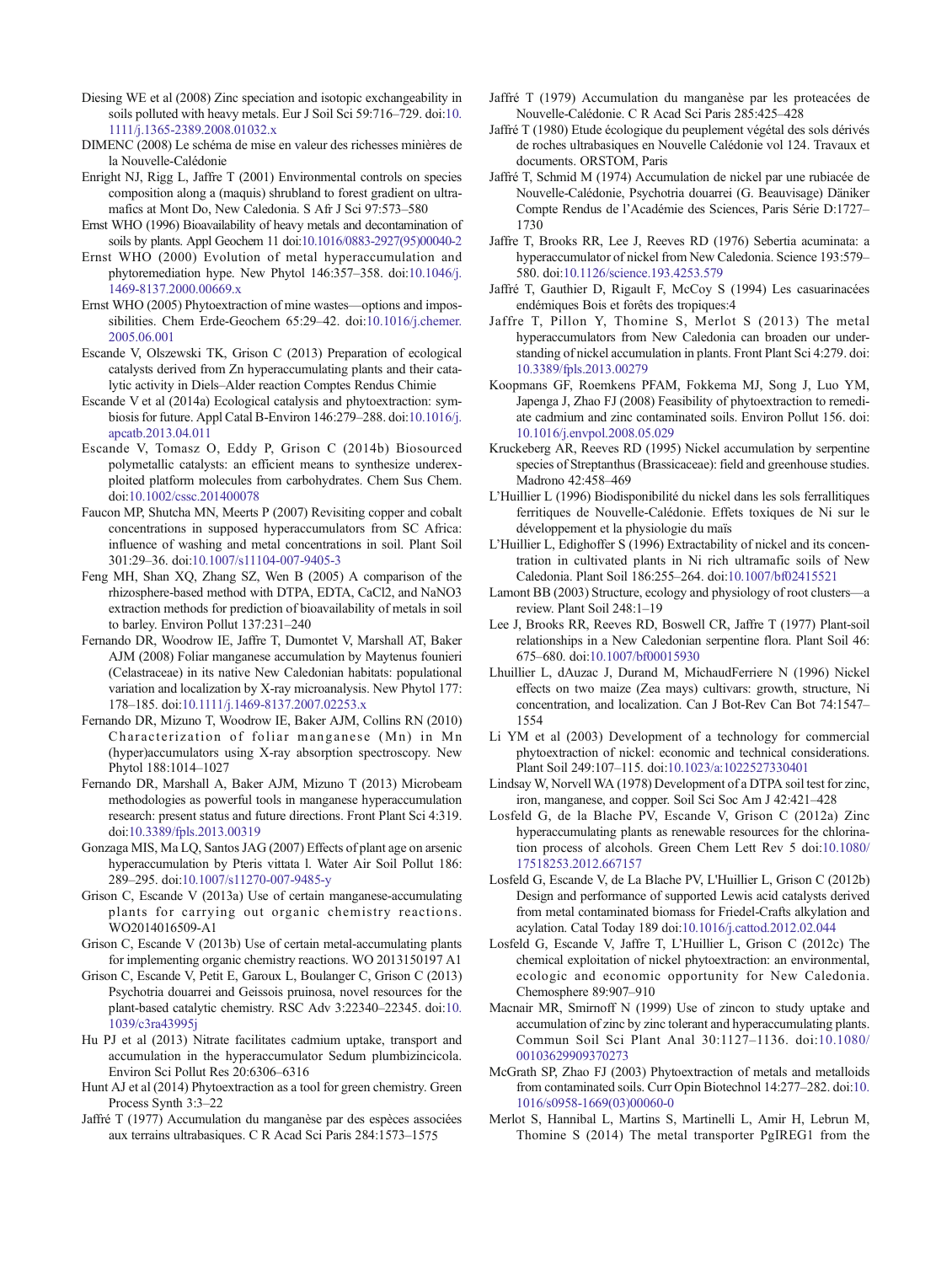- Diesing WE et al (2008) Zinc speciation and isotopic exchangeability in soils polluted with heavy metals. Eur J Soil Sci 59:716–729. doi:[10.](http://dx.doi.org/10.1111/j.1365-2389.2008.01032.x) [1111/j.1365-2389.2008.01032.x](http://dx.doi.org/10.1111/j.1365-2389.2008.01032.x)
- DIMENC (2008) Le schéma de mise en valeur des richesses minières de la Nouvelle-Calédonie
- Enright NJ, Rigg L, Jaffre T (2001) Environmental controls on species composition along a (maquis) shrubland to forest gradient on ultramafics at Mont Do, New Caledonia. S Afr J Sci 97:573–580
- Ernst WHO (1996) Bioavailability of heavy metals and decontamination of soils by plants. Appl Geochem 11 doi:[10.1016/0883-2927\(95\)00040-2](http://dx.doi.org/10.1016/0883-2927(95)00040-2)
- Ernst WHO (2000) Evolution of metal hyperaccumulation and phytoremediation hype. New Phytol 146:357–358. doi:[10.1046/j.](http://dx.doi.org/10.1046/j.1469-8137.2000.00669.x) [1469-8137.2000.00669.x](http://dx.doi.org/10.1046/j.1469-8137.2000.00669.x)
- Ernst WHO (2005) Phytoextraction of mine wastes—options and impossibilities. Chem Erde-Geochem 65:29–42. doi[:10.1016/j.chemer.](http://dx.doi.org/10.1016/j.chemer.2005.06.001) [2005.06.001](http://dx.doi.org/10.1016/j.chemer.2005.06.001)
- Escande V, Olszewski TK, Grison C (2013) Preparation of ecological catalysts derived from Zn hyperaccumulating plants and their catalytic activity in Diels–Alder reaction Comptes Rendus Chimie
- Escande V et al (2014a) Ecological catalysis and phytoextraction: symbiosis for future. Appl Catal B-Environ 146:279–288. doi:[10.1016/j.](http://dx.doi.org/10.1016/j.apcatb.2013.04.011) [apcatb.2013.04.011](http://dx.doi.org/10.1016/j.apcatb.2013.04.011)
- Escande V, Tomasz O, Eddy P, Grison C (2014b) Biosourced polymetallic catalysts: an efficient means to synthesize underexploited platform molecules from carbohydrates. Chem Sus Chem. doi:[10.1002/cssc.201400078](http://dx.doi.org/10.1002/cssc.201400078)
- Faucon MP, Shutcha MN, Meerts P (2007) Revisiting copper and cobalt concentrations in supposed hyperaccumulators from SC Africa: influence of washing and metal concentrations in soil. Plant Soil 301:29–36. doi[:10.1007/s11104-007-9405-3](http://dx.doi.org/10.1007/s11104-007-9405-3)
- Feng MH, Shan XQ, Zhang SZ, Wen B (2005) A comparison of the rhizosphere-based method with DTPA, EDTA, CaCl2, and NaNO3 extraction methods for prediction of bioavailability of metals in soil to barley. Environ Pollut 137:231–240
- Fernando DR, Woodrow IE, Jaffre T, Dumontet V, Marshall AT, Baker AJM (2008) Foliar manganese accumulation by Maytenus founieri (Celastraceae) in its native New Caledonian habitats: populational variation and localization by X-ray microanalysis. New Phytol 177: 178–185. doi[:10.1111/j.1469-8137.2007.02253.x](http://dx.doi.org/10.1111/j.1469-8137.2007.02253.x)
- Fernando DR, Mizuno T, Woodrow IE, Baker AJM, Collins RN (2010) Characterization of foliar manganese (Mn) in Mn (hyper)accumulators using X-ray absorption spectroscopy. New Phytol 188:1014–1027
- Fernando DR, Marshall A, Baker AJM, Mizuno T (2013) Microbeam methodologies as powerful tools in manganese hyperaccumulation research: present status and future directions. Front Plant Sci 4:319. doi:[10.3389/fpls.2013.00319](http://dx.doi.org/10.3389/fpls.2013.00319)
- Gonzaga MIS, Ma LQ, Santos JAG (2007) Effects of plant age on arsenic hyperaccumulation by Pteris vittata l. Water Air Soil Pollut 186: 289–295. doi[:10.1007/s11270-007-9485-y](http://dx.doi.org/10.1007/s11270-007-9485-y)
- Grison C, Escande V (2013a) Use of certain manganese-accumulating plants for carrying out organic chemistry reactions. WO2014016509-A1
- Grison C, Escande V (2013b) Use of certain metal-accumulating plants for implementing organic chemistry reactions. WO 2013150197 A1
- Grison C, Escande V, Petit E, Garoux L, Boulanger C, Grison C (2013) Psychotria douarrei and Geissois pruinosa, novel resources for the plant-based catalytic chemistry. RSC Adv 3:22340–22345. doi:[10.](http://dx.doi.org/10.1039/c3ra43995j) [1039/c3ra43995j](http://dx.doi.org/10.1039/c3ra43995j)
- Hu PJ et al (2013) Nitrate facilitates cadmium uptake, transport and accumulation in the hyperaccumulator Sedum plumbizincicola. Environ Sci Pollut Res 20:6306–6316
- Hunt AJ et al (2014) Phytoextraction as a tool for green chemistry. Green Process Synth 3:3–22
- Jaffré T (1977) Accumulation du manganèse par des espèces associées aux terrains ultrabasiques. C R Acad Sci Paris 284:1573–1575
- Jaffré T (1979) Accumulation du manganèse par les proteacées de Nouvelle-Calédonie. C R Acad Sci Paris 285:425–428
- Jaffré T (1980) Etude écologique du peuplement végétal des sols dérivés de roches ultrabasiques en Nouvelle Calédonie vol 124. Travaux et documents. ORSTOM, Paris
- Jaffré T, Schmid M (1974) Accumulation de nickel par une rubiacée de Nouvelle-Calédonie, Psychotria douarrei (G. Beauvisage) Däniker Compte Rendus de l'Académie des Sciences, Paris Série D:1727– 1730
- Jaffre T, Brooks RR, Lee J, Reeves RD (1976) Sebertia acuminata: a hyperaccumulator of nickel from New Caledonia. Science 193:579– 580. doi[:10.1126/science.193.4253.579](http://dx.doi.org/10.1126/science.193.4253.579)
- Jaffré T, Gauthier D, Rigault F, McCoy S (1994) Les casuarinacées endémiques Bois et forêts des tropiques:4
- Jaffre T, Pillon Y, Thomine S, Merlot S (2013) The metal hyperaccumulators from New Caledonia can broaden our understanding of nickel accumulation in plants. Front Plant Sci 4:279. doi: [10.3389/fpls.2013.00279](http://dx.doi.org/10.3389/fpls.2013.00279)
- Koopmans GF, Roemkens PFAM, Fokkema MJ, Song J, Luo YM, Japenga J, Zhao FJ (2008) Feasibility of phytoextraction to remediate cadmium and zinc contaminated soils. Environ Pollut 156. doi: [10.1016/j.envpol.2008.05.029](http://dx.doi.org/10.1016/j.envpol.2008.05.029)
- Kruckeberg AR, Reeves RD (1995) Nickel accumulation by serpentine species of Streptanthus (Brassicaceae): field and greenhouse studies. Madrono 42:458–469
- L'Huillier L (1996) Biodisponibilité du nickel dans les sols ferrallitiques ferritiques de Nouvelle-Calédonie. Effets toxiques de Ni sur le développement et la physiologie du maïs
- L'Huillier L, Edighoffer S (1996) Extractability of nickel and its concentration in cultivated plants in Ni rich ultramafic soils of New Caledonia. Plant Soil 186:255–264. doi[:10.1007/bf02415521](http://dx.doi.org/10.1007/bf02415521)
- Lamont BB (2003) Structure, ecology and physiology of root clusters—a review. Plant Soil 248:1–19
- Lee J, Brooks RR, Reeves RD, Boswell CR, Jaffre T (1977) Plant-soil relationships in a New Caledonian serpentine flora. Plant Soil 46: 675–680. doi[:10.1007/bf00015930](http://dx.doi.org/10.1007/bf00015930)
- Lhuillier L, dAuzac J, Durand M, MichaudFerriere N (1996) Nickel effects on two maize (Zea mays) cultivars: growth, structure, Ni concentration, and localization. Can J Bot-Rev Can Bot 74:1547– 1554
- Li YM et al (2003) Development of a technology for commercial phytoextraction of nickel: economic and technical considerations. Plant Soil 249:107–115. doi:[10.1023/a:1022527330401](http://dx.doi.org/10.1023/a:1022527330401)
- Lindsay W, Norvell WA (1978) Development of a DTPA soil test for zinc, iron, manganese, and copper. Soil Sci Soc Am J 42:421–428
- Losfeld G, de la Blache PV, Escande V, Grison C (2012a) Zinc hyperaccumulating plants as renewable resources for the chlorination process of alcohols. Green Chem Lett Rev 5 doi:[10.1080/](http://dx.doi.org/10.1080/17518253.2012.667157) [17518253.2012.667157](http://dx.doi.org/10.1080/17518253.2012.667157)
- Losfeld G, Escande V, de La Blache PV, L'Huillier L, Grison C (2012b) Design and performance of supported Lewis acid catalysts derived from metal contaminated biomass for Friedel-Crafts alkylation and acylation. Catal Today 189 doi:[10.1016/j.cattod.2012.02.044](http://dx.doi.org/10.1016/j.cattod.2012.02.044)
- Losfeld G, Escande V, Jaffre T, L'Huillier L, Grison C (2012c) The chemical exploitation of nickel phytoextraction: an environmental, ecologic and economic opportunity for New Caledonia. Chemosphere 89:907–910
- Macnair MR, Smirnoff N (1999) Use of zincon to study uptake and accumulation of zinc by zinc tolerant and hyperaccumulating plants. Commun Soil Sci Plant Anal 30:1127–1136. doi:[10.1080/](http://dx.doi.org/10.1080/00103629909370273) [00103629909370273](http://dx.doi.org/10.1080/00103629909370273)
- McGrath SP, Zhao FJ (2003) Phytoextraction of metals and metalloids from contaminated soils. Curr Opin Biotechnol 14:277–282. doi[:10.](http://dx.doi.org/10.1016/s0958-1669(03)00060-0) [1016/s0958-1669\(03\)00060-0](http://dx.doi.org/10.1016/s0958-1669(03)00060-0)
- Merlot S, Hannibal L, Martins S, Martinelli L, Amir H, Lebrun M, Thomine S (2014) The metal transporter PgIREG1 from the